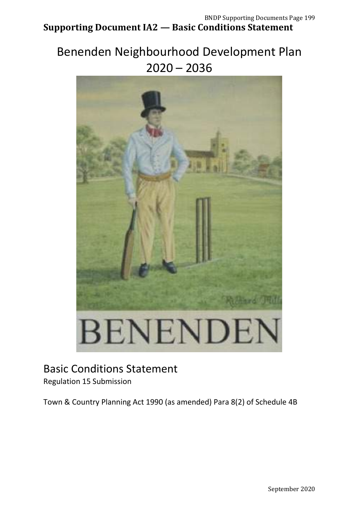# Benenden Neighbourhood Development Plan 2020 – 2036



# Basic Conditions Statement

Regulation 15 Submission

Town & Country Planning Act 1990 (as amended) Para 8(2) of Schedule 4B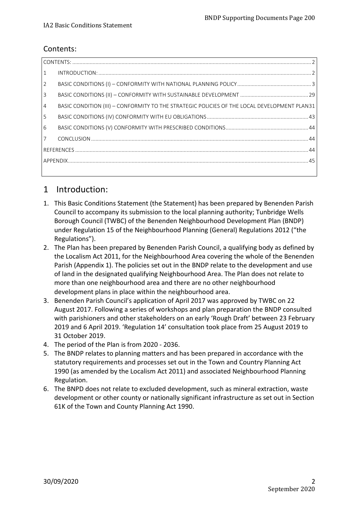#### <span id="page-1-0"></span>Contents:

| 1               |                                                                                              |  |  |
|-----------------|----------------------------------------------------------------------------------------------|--|--|
| $\overline{2}$  |                                                                                              |  |  |
| $\overline{3}$  |                                                                                              |  |  |
| $\overline{4}$  | BASIC CONDITION (III) - CONFORMITY TO THE STRATEGIC POLICIES OF THE LOCAL DEVELOPMENT PLAN31 |  |  |
| 5               |                                                                                              |  |  |
| $6\overline{6}$ |                                                                                              |  |  |
| $\overline{7}$  |                                                                                              |  |  |
|                 |                                                                                              |  |  |
|                 |                                                                                              |  |  |
|                 |                                                                                              |  |  |

### <span id="page-1-1"></span>1 Introduction:

- 1. This Basic Conditions Statement (the Statement) has been prepared by Benenden Parish Council to accompany its submission to the local planning authority; Tunbridge Wells Borough Council (TWBC) of the Benenden Neighbourhood Development Plan (BNDP) under Regulation 15 of the Neighbourhood Planning (General) Regulations 2012 ("the Regulations").
- 2. The Plan has been prepared by Benenden Parish Council, a qualifying body as defined by the Localism Act 2011, for the Neighbourhood Area covering the whole of the Benenden Parish (Appendix 1). The policies set out in the BNDP relate to the development and use of land in the designated qualifying Neighbourhood Area. The Plan does not relate to more than one neighbourhood area and there are no other neighbourhood development plans in place within the neighbourhood area.
- 3. Benenden Parish Council's application of April 2017 was approved by TWBC on 22 August 2017. Following a series of workshops and plan preparation the BNDP consulted with parishioners and other stakeholders on an early 'Rough Draft' between 23 February 2019 and 6 April 2019. 'Regulation 14' consultation took place from 25 August 2019 to 31 October 2019.
- 4. The period of the Plan is from 2020 2036.
- 5. The BNDP relates to planning matters and has been prepared in accordance with the statutory requirements and processes set out in the Town and Country Planning Act 1990 (as amended by the Localism Act 2011) and associated Neighbourhood Planning Regulation.
- 6. The BNPD does not relate to excluded development, such as mineral extraction, waste development or other county or nationally significant infrastructure as set out in Section 61K of the Town and County Planning Act 1990.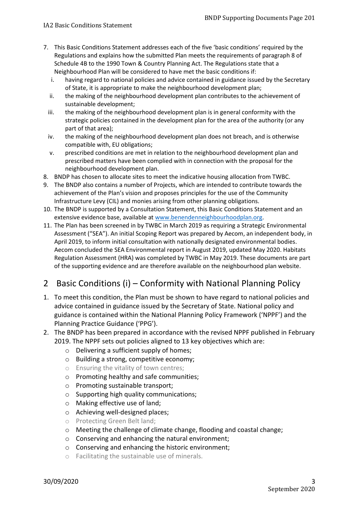- 7. This Basic Conditions Statement addresses each of the five 'basic conditions' required by the Regulations and explains how the submitted Plan meets the requirements of paragraph 8 of Schedule 4B to the 1990 Town & Country Planning Act. The Regulations state that a Neighbourhood Plan will be considered to have met the basic conditions if:
	- i. having regard to national policies and advice contained in guidance issued by the Secretary of State, it is appropriate to make the neighbourhood development plan;
	- ii. the making of the neighbourhood development plan contributes to the achievement of sustainable development;
	- iii. the making of the neighbourhood development plan is in general conformity with the strategic policies contained in the development plan for the area of the authority (or any part of that area);
	- iv. the making of the neighbourhood development plan does not breach, and is otherwise compatible with, EU obligations;
	- v. prescribed conditions are met in relation to the neighbourhood development plan and prescribed matters have been complied with in connection with the proposal for the neighbourhood development plan.
- 8. BNDP has chosen to allocate sites to meet the indicative housing allocation from TWBC.
- 9. The BNDP also contains a number of Projects, which are intended to contribute towards the achievement of the Plan's vision and proposes principles for the use of the Community Infrastructure Levy (CIL) and monies arising from other planning obligations.
- 10. The BNDP is supported by a Consultation Statement, this Basic Conditions Statement and an extensive evidence base, available at [www.benendenneighbourhoodplan.org.](http://www.benendenneighbourhoodplan.org/)
- 11. The Plan has been screened in by TWBC in March 2019 as requiring a Strategic Environmental Assessment ("SEA"). An initial Scoping Report was prepared by Aecom, an independent body, in April 2019, to inform initial consultation with nationally designated environmental bodies. Aecom concluded the SEA Environmental report in August 2019, updated May 2020. Habitats Regulation Assessment (HRA) was completed by TWBC in May 2019. These documents are part of the supporting evidence and are therefore available on the neighbourhood plan website.

## <span id="page-2-0"></span>2 Basic Conditions (i) – Conformity with National Planning Policy

- 1. To meet this condition, the Plan must be shown to have regard to national policies and advice contained in guidance issued by the Secretary of State. National policy and guidance is contained within the National Planning Policy Framework ('NPPF') and the Planning Practice Guidance ('PPG').
- 2. The BNDP has been prepared in accordance with the revised NPPF published in February 2019. The NPPF sets out policies aligned to 13 key objectives which are:
	- o Delivering a sufficient supply of homes;
	- o Building a strong, competitive economy;
	- o Ensuring the vitality of town centres;
	- o Promoting healthy and safe communities;
	- o Promoting sustainable transport;
	- o Supporting high quality communications;
	- o Making effective use of land;
	- o Achieving well-designed places;
	- o Protecting Green Belt land;
	- o Meeting the challenge of climate change, flooding and coastal change;
	- o Conserving and enhancing the natural environment;
	- o Conserving and enhancing the historic environment;
	- o Facilitating the sustainable use of minerals.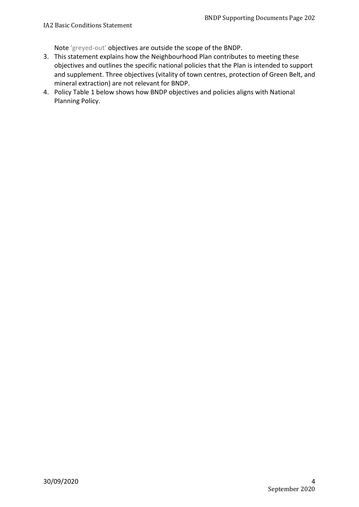Note 'greyed-out' objectives are outside the scope of the BNDP.

- 3. This statement explains how the Neighbourhood Plan contributes to meeting these objectives and outlines the specific national policies that the Plan is intended to support and supplement. Three objectives (vitality of town centres, protection of Green Belt, and mineral extraction) are not relevant for BNDP.
- 4. Policy Table 1 below shows how BNDP objectives and policies aligns with National Planning Policy.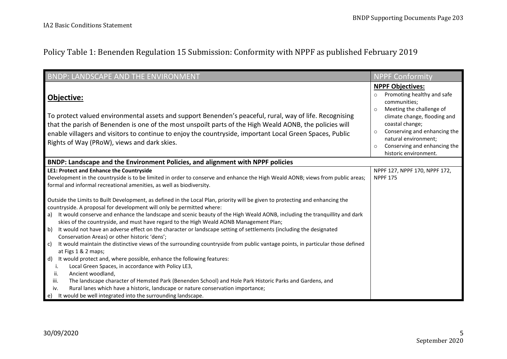# Policy Table 1: Benenden Regulation 15 Submission: Conformity with NPPF as published February 2019

| <b>BNDP: LANDSCAPE AND THE ENVIRONMENT</b>                                                                                                                                                                                                                                                                                                                                                                                                                                                                                                                                                                                                                                                                                                                                                                                                                                                                                                                                                                                                                                                                                                                                                                                                                                                                                                                                                                                                                                                            | <b>NPPF Conformity</b>                                                                                                                                                                                                                                                                      |
|-------------------------------------------------------------------------------------------------------------------------------------------------------------------------------------------------------------------------------------------------------------------------------------------------------------------------------------------------------------------------------------------------------------------------------------------------------------------------------------------------------------------------------------------------------------------------------------------------------------------------------------------------------------------------------------------------------------------------------------------------------------------------------------------------------------------------------------------------------------------------------------------------------------------------------------------------------------------------------------------------------------------------------------------------------------------------------------------------------------------------------------------------------------------------------------------------------------------------------------------------------------------------------------------------------------------------------------------------------------------------------------------------------------------------------------------------------------------------------------------------------|---------------------------------------------------------------------------------------------------------------------------------------------------------------------------------------------------------------------------------------------------------------------------------------------|
| Objective:<br>To protect valued environmental assets and support Benenden's peaceful, rural, way of life. Recognising<br>that the parish of Benenden is one of the most unspoilt parts of the High Weald AONB, the policies will<br>enable villagers and visitors to continue to enjoy the countryside, important Local Green Spaces, Public<br>Rights of Way (PRoW), views and dark skies.                                                                                                                                                                                                                                                                                                                                                                                                                                                                                                                                                                                                                                                                                                                                                                                                                                                                                                                                                                                                                                                                                                           | <b>NPPF Objectives:</b><br>Promoting healthy and safe<br>$\circ$<br>communities;<br>Meeting the challenge of<br>$\circ$<br>climate change, flooding and<br>coastal change;<br>Conserving and enhancing the<br>natural environment;<br>Conserving and enhancing the<br>historic environment. |
| BNDP: Landscape and the Environment Policies, and alignment with NPPF policies                                                                                                                                                                                                                                                                                                                                                                                                                                                                                                                                                                                                                                                                                                                                                                                                                                                                                                                                                                                                                                                                                                                                                                                                                                                                                                                                                                                                                        |                                                                                                                                                                                                                                                                                             |
| LE1: Protect and Enhance the Countryside<br>Development in the countryside is to be limited in order to conserve and enhance the High Weald AONB; views from public areas;<br>formal and informal recreational amenities, as well as biodiversity.<br>Outside the Limits to Built Development, as defined in the Local Plan, priority will be given to protecting and enhancing the<br>countryside. A proposal for development will only be permitted where:<br>It would conserve and enhance the landscape and scenic beauty of the High Weald AONB, including the tranquillity and dark<br>a)<br>skies of the countryside, and must have regard to the High Weald AONB Management Plan;<br>b)<br>It would not have an adverse effect on the character or landscape setting of settlements (including the designated<br>Conservation Areas) or other historic 'dens';<br>It would maintain the distinctive views of the surrounding countryside from public vantage points, in particular those defined<br>$\mathsf{c}$<br>at Figs 1 & 2 maps;<br>d)<br>It would protect and, where possible, enhance the following features:<br>Local Green Spaces, in accordance with Policy LE3,<br>i.<br>Ancient woodland,<br>ii.<br>iii.<br>The landscape character of Hemsted Park (Benenden School) and Hole Park Historic Parks and Gardens, and<br>Rural lanes which have a historic, landscape or nature conservation importance;<br>iv.<br>e) It would be well integrated into the surrounding landscape. | NPPF 127, NPPF 170, NPPF 172,<br><b>NPPF 175</b>                                                                                                                                                                                                                                            |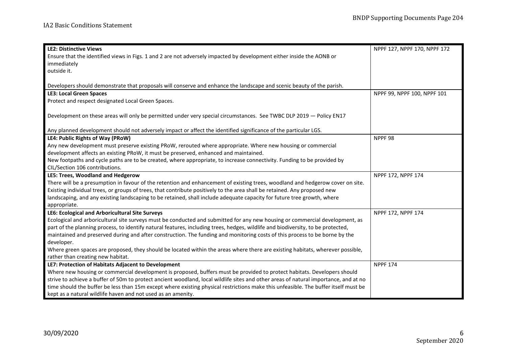| <b>LE2: Distinctive Views</b>                                                                                                        | NPPF 127, NPPF 170, NPPF 172 |
|--------------------------------------------------------------------------------------------------------------------------------------|------------------------------|
| Ensure that the identified views in Figs. 1 and 2 are not adversely impacted by development either inside the AONB or                |                              |
| immediately                                                                                                                          |                              |
| outside it.                                                                                                                          |                              |
|                                                                                                                                      |                              |
| Developers should demonstrate that proposals will conserve and enhance the landscape and scenic beauty of the parish.                |                              |
| <b>LE3: Local Green Spaces</b>                                                                                                       | NPPF 99, NPPF 100, NPPF 101  |
| Protect and respect designated Local Green Spaces.                                                                                   |                              |
|                                                                                                                                      |                              |
| Development on these areas will only be permitted under very special circumstances. See TWBC DLP 2019 - Policy EN17                  |                              |
|                                                                                                                                      |                              |
| Any planned development should not adversely impact or affect the identified significance of the particular LGS.                     |                              |
| LE4: Public Rights of Way (PRoW)                                                                                                     | NPPF 98                      |
| Any new development must preserve existing PRoW, rerouted where appropriate. Where new housing or commercial                         |                              |
| development affects an existing PRoW, it must be preserved, enhanced and maintained.                                                 |                              |
| New footpaths and cycle paths are to be created, where appropriate, to increase connectivity. Funding to be provided by              |                              |
| CIL/Section 106 contributions.                                                                                                       |                              |
| LE5: Trees, Woodland and Hedgerow                                                                                                    | NPPF 172, NPPF 174           |
| There will be a presumption in favour of the retention and enhancement of existing trees, woodland and hedgerow cover on site.       |                              |
| Existing individual trees, or groups of trees, that contribute positively to the area shall be retained. Any proposed new            |                              |
| landscaping, and any existing landscaping to be retained, shall include adequate capacity for future tree growth, where              |                              |
| appropriate.                                                                                                                         |                              |
| LE6: Ecological and Arboricultural Site Surveys                                                                                      | NPPF 172, NPPF 174           |
| Ecological and arboricultural site surveys must be conducted and submitted for any new housing or commercial development, as         |                              |
| part of the planning process, to identify natural features, including trees, hedges, wildlife and biodiversity, to be protected,     |                              |
| maintained and preserved during and after construction. The funding and monitoring costs of this process to be borne by the          |                              |
| developer.                                                                                                                           |                              |
| Where green spaces are proposed, they should be located within the areas where there are existing habitats, wherever possible,       |                              |
| rather than creating new habitat.                                                                                                    |                              |
| LE7: Protection of Habitats Adjacent to Development                                                                                  | <b>NPPF 174</b>              |
| Where new housing or commercial development is proposed, buffers must be provided to protect habitats. Developers should             |                              |
| strive to achieve a buffer of 50m to protect ancient woodland, local wildlife sites and other areas of natural importance, and at no |                              |
| time should the buffer be less than 15m except where existing physical restrictions make this unfeasible. The buffer itself must be  |                              |
| kept as a natural wildlife haven and not used as an amenity.                                                                         |                              |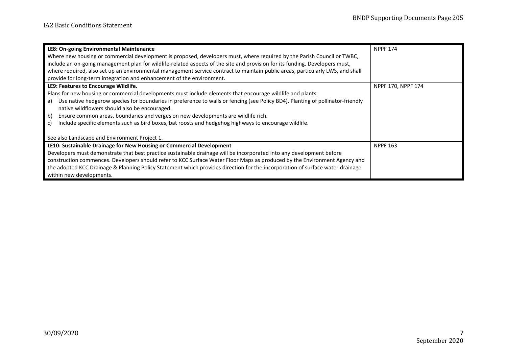| LE8: On-going Environmental Maintenance                                                                                              | <b>NPPF 174</b>    |
|--------------------------------------------------------------------------------------------------------------------------------------|--------------------|
| Where new housing or commercial development is proposed, developers must, where required by the Parish Council or TWBC,              |                    |
| include an on-going management plan for wildlife-related aspects of the site and provision for its funding. Developers must,         |                    |
| where required, also set up an environmental management service contract to maintain public areas, particularly LWS, and shall       |                    |
| provide for long-term integration and enhancement of the environment.                                                                |                    |
| LE9: Features to Encourage Wildlife.                                                                                                 | NPPF 170, NPPF 174 |
| Plans for new housing or commercial developments must include elements that encourage wildlife and plants:                           |                    |
| Use native hedgerow species for boundaries in preference to walls or fencing (see Policy BD4). Planting of pollinator-friendly<br>a) |                    |
| native wildflowers should also be encouraged.                                                                                        |                    |
| Ensure common areas, boundaries and verges on new developments are wildlife rich.<br>$\vert b \rangle$                               |                    |
| Include specific elements such as bird boxes, bat roosts and hedgehog highways to encourage wildlife.<br>c)                          |                    |
| See also Landscape and Environment Project 1.                                                                                        |                    |
| LE10: Sustainable Drainage for New Housing or Commercial Development                                                                 | <b>NPPF 163</b>    |
| Developers must demonstrate that best practice sustainable drainage will be incorporated into any development before                 |                    |
| construction commences. Developers should refer to KCC Surface Water Floor Maps as produced by the Environment Agency and            |                    |
| the adopted KCC Drainage & Planning Policy Statement which provides direction for the incorporation of surface water drainage        |                    |
| within new developments.                                                                                                             |                    |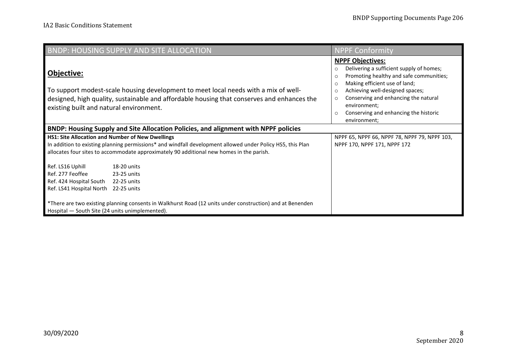|                                                                                                                                                                                                                                                                   | <b>BNDP: HOUSING SUPPLY AND SITE ALLOCATION</b>                                                           | <b>NPPF Conformity</b>                                                                                                                                                                                                                                                                                                                                                |
|-------------------------------------------------------------------------------------------------------------------------------------------------------------------------------------------------------------------------------------------------------------------|-----------------------------------------------------------------------------------------------------------|-----------------------------------------------------------------------------------------------------------------------------------------------------------------------------------------------------------------------------------------------------------------------------------------------------------------------------------------------------------------------|
| Objective:<br>To support modest-scale housing development to meet local needs with a mix of well-<br>designed, high quality, sustainable and affordable housing that conserves and enhances the<br>existing built and natural environment.                        |                                                                                                           | <b>NPPF Objectives:</b><br>Delivering a sufficient supply of homes;<br>$\circ$<br>Promoting healthy and safe communities;<br>$\circ$<br>Making efficient use of land;<br>$\circ$<br>Achieving well-designed spaces;<br>$\circ$<br>Conserving and enhancing the natural<br>$\circ$<br>environment:<br>Conserving and enhancing the historic<br>$\circ$<br>environment; |
|                                                                                                                                                                                                                                                                   | BNDP: Housing Supply and Site Allocation Policies, and alignment with NPPF policies                       |                                                                                                                                                                                                                                                                                                                                                                       |
| <b>HS1: Site Allocation and Number of New Dwellings</b><br>In addition to existing planning permissions* and windfall development allowed under Policy HS5, this Plan<br>allocates four sites to accommodate approximately 90 additional new homes in the parish. |                                                                                                           | NPPF 65, NPPF 66, NPPF 78, NPPF 79, NPPF 103,<br>NPPF 170, NPPF 171, NPPF 172                                                                                                                                                                                                                                                                                         |
| Ref. LS16 Uphill<br>Ref. 277 Feoffee<br>Ref. 424 Hospital South<br>Ref. LS41 Hospital North 22-25 units                                                                                                                                                           | 18-20 units<br>23-25 units<br>22-25 units                                                                 |                                                                                                                                                                                                                                                                                                                                                                       |
| Hospital - South Site (24 units unimplemented).                                                                                                                                                                                                                   | *There are two existing planning consents in Walkhurst Road (12 units under construction) and at Benenden |                                                                                                                                                                                                                                                                                                                                                                       |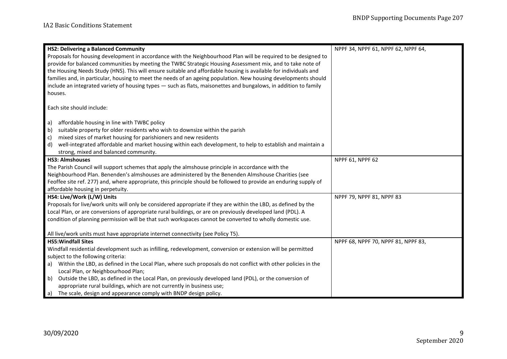| <b>HS2: Delivering a Balanced Community</b>                                                                         | NPPF 34, NPPF 61, NPPF 62, NPPF 64, |
|---------------------------------------------------------------------------------------------------------------------|-------------------------------------|
| Proposals for housing development in accordance with the Neighbourhood Plan will be required to be designed to      |                                     |
| provide for balanced communities by meeting the TWBC Strategic Housing Assessment mix, and to take note of          |                                     |
| the Housing Needs Study (HNS). This will ensure suitable and affordable housing is available for individuals and    |                                     |
| families and, in particular, housing to meet the needs of an ageing population. New housing developments should     |                                     |
| include an integrated variety of housing types - such as flats, maisonettes and bungalows, in addition to family    |                                     |
| houses.                                                                                                             |                                     |
|                                                                                                                     |                                     |
| Each site should include:                                                                                           |                                     |
| affordable housing in line with TWBC policy<br>a)                                                                   |                                     |
| suitable property for older residents who wish to downsize within the parish<br>b)                                  |                                     |
| mixed sizes of market housing for parishioners and new residents<br>c)                                              |                                     |
| well-integrated affordable and market housing within each development, to help to establish and maintain a<br>d)    |                                     |
| strong, mixed and balanced community.                                                                               |                                     |
| <b>HS3: Almshouses</b>                                                                                              | NPPF 61, NPPF 62                    |
| The Parish Council will support schemes that apply the almshouse principle in accordance with the                   |                                     |
| Neighbourhood Plan. Benenden's almshouses are administered by the Benenden Almshouse Charities (see                 |                                     |
| Feoffee site ref. 277) and, where appropriate, this principle should be followed to provide an enduring supply of   |                                     |
| affordable housing in perpetuity.                                                                                   |                                     |
| HS4: Live/Work (L/W) Units                                                                                          | NPPF 79, NPPF 81, NPPF 83           |
| Proposals for live/work units will only be considered appropriate if they are within the LBD, as defined by the     |                                     |
| Local Plan, or are conversions of appropriate rural buildings, or are on previously developed land (PDL). A         |                                     |
| condition of planning permission will be that such workspaces cannot be converted to wholly domestic use.           |                                     |
|                                                                                                                     |                                     |
| All live/work units must have appropriate internet connectivity (see Policy T5).                                    |                                     |
| <b>HS5: Windfall Sites</b>                                                                                          | NPPF 68, NPPF 70, NPPF 81, NPPF 83, |
| Windfall residential development such as infilling, redevelopment, conversion or extension will be permitted        |                                     |
| subject to the following criteria:                                                                                  |                                     |
| Within the LBD, as defined in the Local Plan, where such proposals do not conflict with other policies in the<br>a) |                                     |
| Local Plan, or Neighbourhood Plan;                                                                                  |                                     |
| Outside the LBD, as defined in the Local Plan, on previously developed land (PDL), or the conversion of<br>b)       |                                     |
| appropriate rural buildings, which are not currently in business use;                                               |                                     |
| a) The scale, design and appearance comply with BNDP design policy.                                                 |                                     |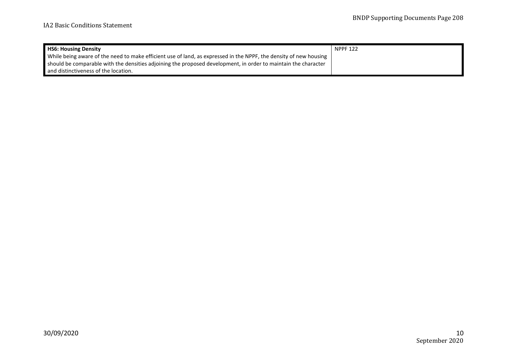| <b>HS6: Housing Density</b>                                                                                       | <b>NPPF 122</b> |
|-------------------------------------------------------------------------------------------------------------------|-----------------|
| While being aware of the need to make efficient use of land, as expressed in the NPPF, the density of new housing |                 |
| should be comparable with the densities adjoining the proposed development, in order to maintain the character    |                 |
| and distinctiveness of the location.                                                                              |                 |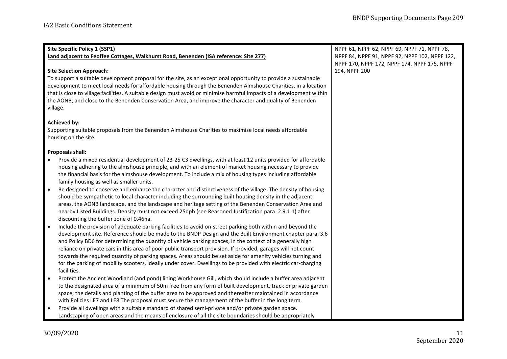| Site Specific Policy 1 (SSP1)                                                                                           | NPPF 61, NPPF 62, NPPF 69, NPPF 71, NPPF 78,   |
|-------------------------------------------------------------------------------------------------------------------------|------------------------------------------------|
| Land adjacent to Feoffee Cottages, Walkhurst Road, Benenden (ISA reference: Site 277)                                   | NPPF 84, NPPF 91, NPPF 92, NPPF 102, NPPF 122, |
|                                                                                                                         | NPPF 170, NPPF 172, NPPF 174, NPPF 175, NPPF   |
| <b>Site Selection Approach:</b>                                                                                         | 194, NPPF 200                                  |
| To support a suitable development proposal for the site, as an exceptional opportunity to provide a sustainable         |                                                |
| development to meet local needs for affordable housing through the Benenden Almshouse Charities, in a location          |                                                |
| that is close to village facilities. A suitable design must avoid or minimise harmful impacts of a development within   |                                                |
| the AONB, and close to the Benenden Conservation Area, and improve the character and quality of Benenden                |                                                |
| village.                                                                                                                |                                                |
| <b>Achieved by:</b>                                                                                                     |                                                |
| Supporting suitable proposals from the Benenden Almshouse Charities to maximise local needs affordable                  |                                                |
| housing on the site.                                                                                                    |                                                |
|                                                                                                                         |                                                |
| <b>Proposals shall:</b>                                                                                                 |                                                |
| Provide a mixed residential development of 23-25 C3 dwellings, with at least 12 units provided for affordable           |                                                |
| housing adhering to the almshouse principle, and with an element of market housing necessary to provide                 |                                                |
| the financial basis for the almshouse development. To include a mix of housing types including affordable               |                                                |
| family housing as well as smaller units.                                                                                |                                                |
| Be designed to conserve and enhance the character and distinctiveness of the village. The density of housing            |                                                |
| should be sympathetic to local character including the surrounding built housing density in the adjacent                |                                                |
| areas, the AONB landscape, and the landscape and heritage setting of the Benenden Conservation Area and                 |                                                |
| nearby Listed Buildings. Density must not exceed 25dph (see Reasoned Justification para. 2.9.1.1) after                 |                                                |
| discounting the buffer zone of 0.46ha.                                                                                  |                                                |
| Include the provision of adequate parking facilities to avoid on-street parking both within and beyond the<br>$\bullet$ |                                                |
| development site. Reference should be made to the BNDP Design and the Built Environment chapter para. 3.6               |                                                |
| and Policy BD6 for determining the quantity of vehicle parking spaces, in the context of a generally high               |                                                |
| reliance on private cars in this area of poor public transport provision. If provided, garages will not count           |                                                |
| towards the required quantity of parking spaces. Areas should be set aside for amenity vehicles turning and             |                                                |
| for the parking of mobility scooters, ideally under cover. Dwellings to be provided with electric car-charging          |                                                |
| facilities.                                                                                                             |                                                |
| Protect the Ancient Woodland (and pond) lining Workhouse Gill, which should include a buffer area adjacent              |                                                |
| to the designated area of a minimum of 50m free from any form of built development, track or private garden             |                                                |
| space; the details and planting of the buffer area to be approved and thereafter maintained in accordance               |                                                |
| with Policies LE7 and LE8 The proposal must secure the management of the buffer in the long term.                       |                                                |
| Provide all dwellings with a suitable standard of shared semi-private and/or private garden space.<br>$\bullet$         |                                                |
| Landscaping of open areas and the means of enclosure of all the site boundaries should be appropriately                 |                                                |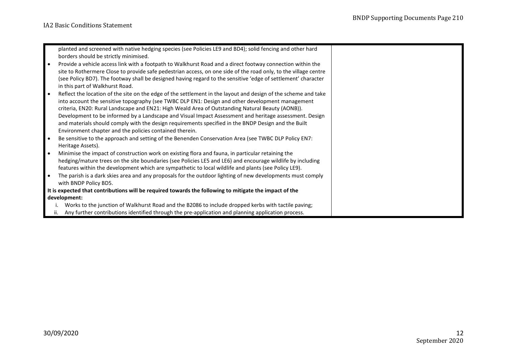| planted and screened with native hedging species (see Policies LE9 and BD4); solid fencing and other hard               |  |
|-------------------------------------------------------------------------------------------------------------------------|--|
| borders should be strictly minimised.                                                                                   |  |
| Provide a vehicle access link with a footpath to Walkhurst Road and a direct footway connection within the<br>$\bullet$ |  |
| site to Rothermere Close to provide safe pedestrian access, on one side of the road only, to the village centre         |  |
| (see Policy BD7). The footway shall be designed having regard to the sensitive 'edge of settlement' character           |  |
| in this part of Walkhurst Road.                                                                                         |  |
| Reflect the location of the site on the edge of the settlement in the layout and design of the scheme and take          |  |
| into account the sensitive topography (see TWBC DLP EN1: Design and other development management                        |  |
| criteria, EN20: Rural Landscape and EN21: High Weald Area of Outstanding Natural Beauty (AONB)).                        |  |
| Development to be informed by a Landscape and Visual Impact Assessment and heritage assessment. Design                  |  |
| and materials should comply with the design requirements specified in the BNDP Design and the Built                     |  |
| Environment chapter and the policies contained therein.                                                                 |  |
| Be sensitive to the approach and setting of the Benenden Conservation Area (see TWBC DLP Policy EN7:                    |  |
| Heritage Assets).                                                                                                       |  |
| Minimise the impact of construction work on existing flora and fauna, in particular retaining the<br>$\bullet$          |  |
| hedging/mature trees on the site boundaries (see Policies LE5 and LE6) and encourage wildlife by including              |  |
| features within the development which are sympathetic to local wildlife and plants (see Policy LE9).                    |  |
| The parish is a dark skies area and any proposals for the outdoor lighting of new developments must comply              |  |
| with BNDP Policy BD5.                                                                                                   |  |
| It is expected that contributions will be required towards the following to mitigate the impact of the                  |  |
| development:                                                                                                            |  |
| Works to the junction of Walkhurst Road and the B2086 to include dropped kerbs with tactile paving;                     |  |
| ii. Any further contributions identified through the pre-application and planning application process.                  |  |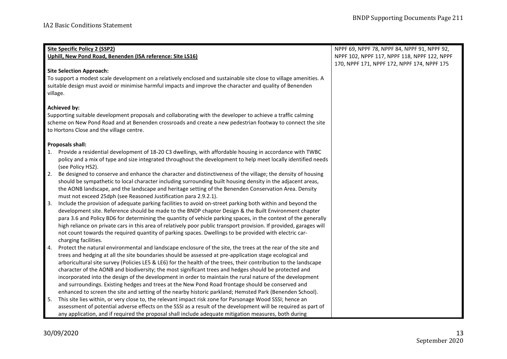|                                                            | <b>Site Specific Policy 2 (SSP2)</b>                                                                                | NPPF 69, NPPF 78, NPPF 84, NPPF 91, NPPF 92, |
|------------------------------------------------------------|---------------------------------------------------------------------------------------------------------------------|----------------------------------------------|
| Uphill, New Pond Road, Benenden (ISA reference: Site LS16) |                                                                                                                     | NPPF 102, NPPF 117, NPPF 118, NPPF 122, NPPF |
|                                                            |                                                                                                                     | 170, NPPF 171, NPPF 172, NPPF 174, NPPF 175  |
|                                                            | <b>Site Selection Approach:</b>                                                                                     |                                              |
|                                                            | To support a modest scale development on a relatively enclosed and sustainable site close to village amenities. A   |                                              |
|                                                            | suitable design must avoid or minimise harmful impacts and improve the character and quality of Benenden            |                                              |
|                                                            | village.                                                                                                            |                                              |
|                                                            |                                                                                                                     |                                              |
|                                                            | <b>Achieved by:</b>                                                                                                 |                                              |
|                                                            | Supporting suitable development proposals and collaborating with the developer to achieve a traffic calming         |                                              |
|                                                            | scheme on New Pond Road and at Benenden crossroads and create a new pedestrian footway to connect the site          |                                              |
|                                                            | to Hortons Close and the village centre.                                                                            |                                              |
|                                                            |                                                                                                                     |                                              |
|                                                            | <b>Proposals shall:</b>                                                                                             |                                              |
|                                                            | 1. Provide a residential development of 18-20 C3 dwellings, with affordable housing in accordance with TWBC         |                                              |
|                                                            | policy and a mix of type and size integrated throughout the development to help meet locally identified needs       |                                              |
|                                                            | (see Policy HS2).                                                                                                   |                                              |
| 2.                                                         | Be designed to conserve and enhance the character and distinctiveness of the village; the density of housing        |                                              |
|                                                            | should be sympathetic to local character including surrounding built housing density in the adjacent areas,         |                                              |
|                                                            | the AONB landscape, and the landscape and heritage setting of the Benenden Conservation Area. Density               |                                              |
|                                                            | must not exceed 25dph (see Reasoned Justification para 2.9.2.1).                                                    |                                              |
| 3.                                                         | Include the provision of adequate parking facilities to avoid on-street parking both within and beyond the          |                                              |
|                                                            | development site. Reference should be made to the BNDP chapter Design & the Built Environment chapter               |                                              |
|                                                            | para 3.6 and Policy BD6 for determining the quantity of vehicle parking spaces, in the context of the generally     |                                              |
|                                                            | high reliance on private cars in this area of relatively poor public transport provision. If provided, garages will |                                              |
|                                                            | not count towards the required quantity of parking spaces. Dwellings to be provided with electric car-              |                                              |
|                                                            | charging facilities.                                                                                                |                                              |
| 4.                                                         | Protect the natural environmental and landscape enclosure of the site, the trees at the rear of the site and        |                                              |
|                                                            | trees and hedging at all the site boundaries should be assessed at pre-application stage ecological and             |                                              |
|                                                            | arboricultural site survey (Policies LE5 & LE6) for the health of the trees, their contribution to the landscape    |                                              |
|                                                            | character of the AONB and biodiversity; the most significant trees and hedges should be protected and               |                                              |
|                                                            | incorporated into the design of the development in order to maintain the rural nature of the development            |                                              |
|                                                            | and surroundings. Existing hedges and trees at the New Pond Road frontage should be conserved and                   |                                              |
|                                                            | enhanced to screen the site and setting of the nearby historic parkland; Hemsted Park (Benenden School).            |                                              |
| 5.                                                         | This site lies within, or very close to, the relevant impact risk zone for Parsonage Wood SSSI; hence an            |                                              |
|                                                            | assessment of potential adverse effects on the SSSI as a result of the development will be required as part of      |                                              |
|                                                            | any application, and if required the proposal shall include adequate mitigation measures, both during               |                                              |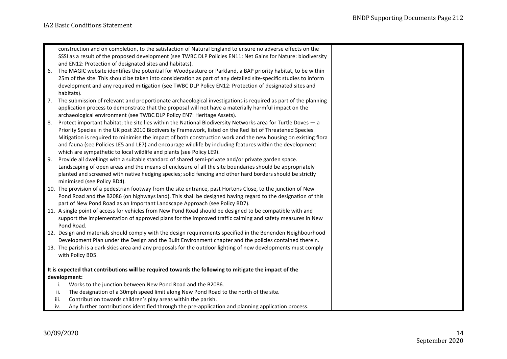|    | construction and on completion, to the satisfaction of Natural England to ensure no adverse effects on the        |
|----|-------------------------------------------------------------------------------------------------------------------|
|    | SSSI as a result of the proposed development (see TWBC DLP Policies EN11: Net Gains for Nature: biodiversity      |
|    | and EN12: Protection of designated sites and habitats).                                                           |
| 6. | The MAGIC website identifies the potential for Woodpasture or Parkland, a BAP priority habitat, to be within      |
|    | 25m of the site. This should be taken into consideration as part of any detailed site-specific studies to inform  |
|    | development and any required mitigation (see TWBC DLP Policy EN12: Protection of designated sites and             |
|    | habitats).                                                                                                        |
|    | 7. The submission of relevant and proportionate archaeological investigations is required as part of the planning |
|    | application process to demonstrate that the proposal will not have a materially harmful impact on the             |
|    | archaeological environment (see TWBC DLP Policy EN7: Heritage Assets).                                            |
| 8. | Protect important habitat; the site lies within the National Biodiversity Networks area for Turtle Doves - a      |
|    | Priority Species in the UK post 2010 Biodiversity Framework, listed on the Red list of Threatened Species.        |
|    | Mitigation is required to minimise the impact of both construction work and the new housing on existing flora     |
|    | and fauna (see Policies LE5 and LE7) and encourage wildlife by including features within the development          |
|    | which are sympathetic to local wildlife and plants (see Policy LE9).                                              |
| 9. | Provide all dwellings with a suitable standard of shared semi-private and/or private garden space.                |
|    | Landscaping of open areas and the means of enclosure of all the site boundaries should be appropriately           |
|    | planted and screened with native hedging species; solid fencing and other hard borders should be strictly         |
|    | minimised (see Policy BD4).                                                                                       |
|    | 10. The provision of a pedestrian footway from the site entrance, past Hortons Close, to the junction of New      |
|    | Pond Road and the B2086 (on highways land). This shall be designed having regard to the designation of this       |
|    | part of New Pond Road as an Important Landscape Approach (see Policy BD7).                                        |
|    | 11. A single point of access for vehicles from New Pond Road should be designed to be compatible with and         |
|    | support the implementation of approved plans for the improved traffic calming and safety measures in New          |
|    | Pond Road.                                                                                                        |
|    | 12. Design and materials should comply with the design requirements specified in the Benenden Neighbourhood       |
|    | Development Plan under the Design and the Built Environment chapter and the policies contained therein.           |
|    | 13. The parish is a dark skies area and any proposals for the outdoor lighting of new developments must comply    |
|    | with Policy BD5.                                                                                                  |
|    | It is expected that contributions will be required towards the following to mitigate the impact of the            |
|    | development:                                                                                                      |
|    | Works to the junction between New Pond Road and the B2086.<br>i.                                                  |
|    | The designation of a 30mph speed limit along New Pond Road to the north of the site.<br>ii.                       |
|    | Contribution towards children's play areas within the parish.<br>iii.                                             |
|    | Any further contributions identified through the pre-application and planning application process.<br>iv.         |
|    |                                                                                                                   |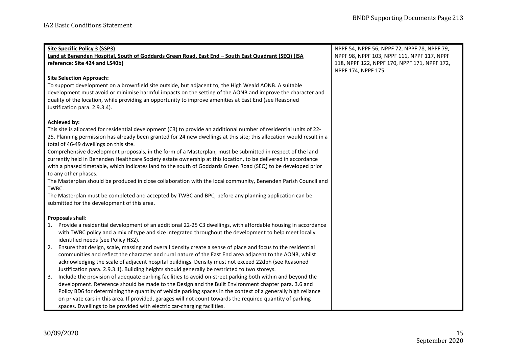| <b>Site Specific Policy 3 (SSP3)</b>                                                                                                                            | NPPF 54, NPPF 56, NPPF 72, NPPF 78, NPPF 79, |
|-----------------------------------------------------------------------------------------------------------------------------------------------------------------|----------------------------------------------|
| Land at Benenden Hospital, South of Goddards Green Road, East End - South East Quadrant (SEQ) (ISA                                                              | NPPF 98, NPPF 103, NPPF 111, NPPF 117, NPPF  |
| reference: Site 424 and LS40b)                                                                                                                                  | 118, NPPF 122, NPPF 170, NPPF 171, NPPF 172, |
|                                                                                                                                                                 | NPPF 174, NPPF 175                           |
| <b>Site Selection Approach:</b>                                                                                                                                 |                                              |
| To support development on a brownfield site outside, but adjacent to, the High Weald AONB. A suitable                                                           |                                              |
| development must avoid or minimise harmful impacts on the setting of the AONB and improve the character and                                                     |                                              |
| quality of the location, while providing an opportunity to improve amenities at East End (see Reasoned                                                          |                                              |
| Justification para. 2.9.3.4).                                                                                                                                   |                                              |
|                                                                                                                                                                 |                                              |
| <b>Achieved by:</b>                                                                                                                                             |                                              |
| This site is allocated for residential development (C3) to provide an additional number of residential units of 22-                                             |                                              |
| 25. Planning permission has already been granted for 24 new dwellings at this site; this allocation would result in a<br>total of 46-49 dwellings on this site. |                                              |
| Comprehensive development proposals, in the form of a Masterplan, must be submitted in respect of the land                                                      |                                              |
| currently held in Benenden Healthcare Society estate ownership at this location, to be delivered in accordance                                                  |                                              |
| with a phased timetable, which indicates land to the south of Goddards Green Road (SEQ) to be developed prior                                                   |                                              |
| to any other phases.                                                                                                                                            |                                              |
| The Masterplan should be produced in close collaboration with the local community, Benenden Parish Council and                                                  |                                              |
| TWBC.                                                                                                                                                           |                                              |
| The Masterplan must be completed and accepted by TWBC and BPC, before any planning application can be                                                           |                                              |
| submitted for the development of this area.                                                                                                                     |                                              |
|                                                                                                                                                                 |                                              |
| <b>Proposals shall:</b>                                                                                                                                         |                                              |
| 1. Provide a residential development of an additional 22-25 C3 dwellings, with affordable housing in accordance                                                 |                                              |
| with TWBC policy and a mix of type and size integrated throughout the development to help meet locally                                                          |                                              |
| identified needs (see Policy HS2).                                                                                                                              |                                              |
| Ensure that design, scale, massing and overall density create a sense of place and focus to the residential<br>2.                                               |                                              |
| communities and reflect the character and rural nature of the East End area adjacent to the AONB, whilst                                                        |                                              |
| acknowledging the scale of adjacent hospital buildings. Density must not exceed 22dph (see Reasoned                                                             |                                              |
| Justification para. 2.9.3.1). Building heights should generally be restricted to two storeys.                                                                   |                                              |
| Include the provision of adequate parking facilities to avoid on-street parking both within and beyond the<br>3.                                                |                                              |
| development. Reference should be made to the Design and the Built Environment chapter para. 3.6 and                                                             |                                              |
| Policy BD6 for determining the quantity of vehicle parking spaces in the context of a generally high reliance                                                   |                                              |
| on private cars in this area. If provided, garages will not count towards the required quantity of parking                                                      |                                              |
| spaces. Dwellings to be provided with electric car-charging facilities.                                                                                         |                                              |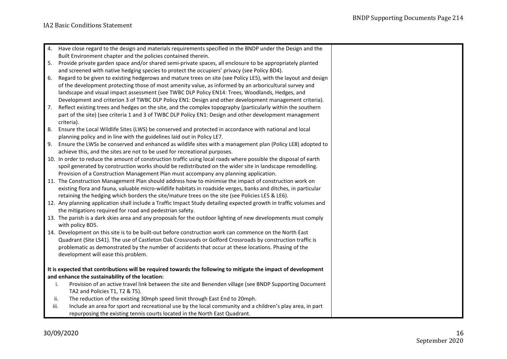|      | 4. Have close regard to the design and materials requirements specified in the BNDP under the Design and the       |
|------|--------------------------------------------------------------------------------------------------------------------|
|      | Built Environment chapter and the policies contained therein.                                                      |
| 5.   | Provide private garden space and/or shared semi-private spaces, all enclosure to be appropriately planted          |
|      | and screened with native hedging species to protect the occupiers' privacy (see Policy BD4).                       |
| 6.   | Regard to be given to existing hedgerows and mature trees on site (see Policy LE5), with the layout and design     |
|      | of the development protecting those of most amenity value, as informed by an arboricultural survey and             |
|      | landscape and visual impact assessment (see TWBC DLP Policy EN14: Trees, Woodlands, Hedges, and                    |
|      | Development and criterion 3 of TWBC DLP Policy EN1: Design and other development management criteria).             |
| 7.   | Reflect existing trees and hedges on the site, and the complex topography (particularly within the southern        |
|      | part of the site) (see criteria 1 and 3 of TWBC DLP Policy EN1: Design and other development management            |
|      | criteria).                                                                                                         |
| 8.   | Ensure the Local Wildlife Sites (LWS) be conserved and protected in accordance with national and local             |
|      | planning policy and in line with the guidelines laid out in Policy LE7.                                            |
| 9.   | Ensure the LWSs be conserved and enhanced as wildlife sites with a management plan (Policy LE8) adopted to         |
|      | achieve this, and the sites are not to be used for recreational purposes.                                          |
|      | 10. In order to reduce the amount of construction traffic using local roads where possible the disposal of earth   |
|      | spoil generated by construction works should be redistributed on the wider site in landscape remodelling.          |
|      | Provision of a Construction Management Plan must accompany any planning application.                               |
|      | 11. The Construction Management Plan should address how to minimise the impact of construction work on             |
|      | existing flora and fauna, valuable micro-wildlife habitats in roadside verges, banks and ditches, in particular    |
|      | retaining the hedging which borders the site/mature trees on the site (see Policies LE5 & LE6).                    |
|      | 12. Any planning application shall include a Traffic Impact Study detailing expected growth in traffic volumes and |
|      | the mitigations required for road and pedestrian safety.                                                           |
|      | 13. The parish is a dark skies area and any proposals for the outdoor lighting of new developments must comply     |
|      | with policy BD5.                                                                                                   |
|      | 14. Development on this site is to be built-out before construction work can commence on the North East            |
|      | Quadrant (Site LS41). The use of Castleton Oak Crossroads or Golford Crossroads by construction traffic is         |
|      | problematic as demonstrated by the number of accidents that occur at these locations. Phasing of the               |
|      | development will ease this problem.                                                                                |
|      | It is expected that contributions will be required towards the following to mitigate the impact of development     |
|      | and enhance the sustainability of the location:                                                                    |
|      | Provision of an active travel link between the site and Benenden village (see BNDP Supporting Document<br>i.       |
|      | TA2 and Policies T1, T2 & T5).                                                                                     |
| ii.  | The reduction of the existing 30mph speed limit through East End to 20mph.                                         |
| iii. | Include an area for sport and recreational use by the local community and a children's play area, in part          |
|      | repurposing the existing tennis courts located in the North East Quadrant.                                         |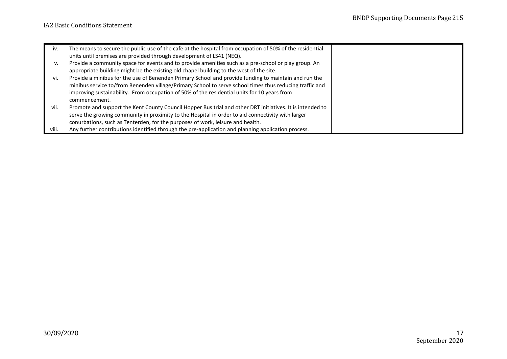| iv.   | The means to secure the public use of the cafe at the hospital from occupation of 50% of the residential  |  |
|-------|-----------------------------------------------------------------------------------------------------------|--|
|       | units until premises are provided through development of LS41 (NEQ).                                      |  |
| ۷.    | Provide a community space for events and to provide amenities such as a pre-school or play group. An      |  |
|       | appropriate building might be the existing old chapel building to the west of the site.                   |  |
| vi.   | Provide a minibus for the use of Benenden Primary School and provide funding to maintain and run the      |  |
|       | minibus service to/from Benenden village/Primary School to serve school times thus reducing traffic and   |  |
|       | improving sustainability. From occupation of 50% of the residential units for 10 years from               |  |
|       | commencement.                                                                                             |  |
| vii.  | Promote and support the Kent County Council Hopper Bus trial and other DRT initiatives. It is intended to |  |
|       | serve the growing community in proximity to the Hospital in order to aid connectivity with larger         |  |
|       | conurbations, such as Tenterden, for the purposes of work, leisure and health.                            |  |
| viii. | Any further contributions identified through the pre-application and planning application process.        |  |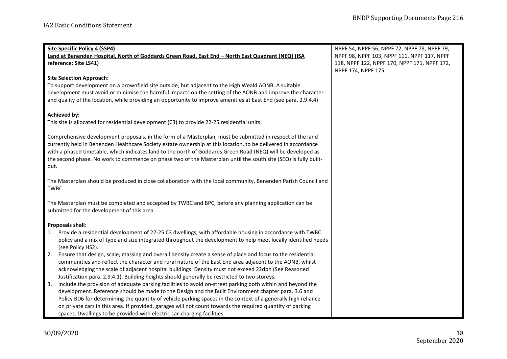| Site Specific Policy 4 (SSP4)                                                                                     | NPPF 54, NPPF 56, NPPF 72, NPPF 78, NPPF 79, |
|-------------------------------------------------------------------------------------------------------------------|----------------------------------------------|
| Land at Benenden Hospital, North of Goddards Green Road, East End - North East Quadrant (NEQ) (ISA                | NPPF 98, NPPF 103, NPPF 111, NPPF 117, NPPF  |
| reference: Site LS41)                                                                                             | 118, NPPF 122, NPPF 170, NPPF 171, NPPF 172, |
|                                                                                                                   | NPPF 174, NPPF 175                           |
| <b>Site Selection Approach:</b>                                                                                   |                                              |
| To support development on a brownfield site outside, but adjacent to the High Weald AONB. A suitable              |                                              |
| development must avoid or minimise the harmful impacts on the setting of the AONB and improve the character       |                                              |
| and quality of the location, while providing an opportunity to improve amenities at East End (see para. 2.9.4.4)  |                                              |
|                                                                                                                   |                                              |
| <b>Achieved by:</b>                                                                                               |                                              |
| This site is allocated for residential development (C3) to provide 22-25 residential units.                       |                                              |
|                                                                                                                   |                                              |
| Comprehensive development proposals, in the form of a Masterplan, must be submitted in respect of the land        |                                              |
| currently held in Benenden Healthcare Society estate ownership at this location, to be delivered in accordance    |                                              |
| with a phased timetable, which indicates land to the north of Goddards Green Road (NEQ) will be developed as      |                                              |
| the second phase. No work to commence on phase two of the Masterplan until the south site (SEQ) is fully built-   |                                              |
| out.                                                                                                              |                                              |
| The Masterplan should be produced in close collaboration with the local community, Benenden Parish Council and    |                                              |
| TWBC.                                                                                                             |                                              |
|                                                                                                                   |                                              |
| The Masterplan must be completed and accepted by TWBC and BPC, before any planning application can be             |                                              |
| submitted for the development of this area.                                                                       |                                              |
|                                                                                                                   |                                              |
| Proposals shall:                                                                                                  |                                              |
| Provide a residential development of 22-25 C3 dwellings, with affordable housing in accordance with TWBC<br>1.    |                                              |
| policy and a mix of type and size integrated throughout the development to help meet locally identified needs     |                                              |
| (see Policy HS2).                                                                                                 |                                              |
| Ensure that design, scale, massing and overall density create a sense of place and focus to the residential<br>2. |                                              |
| communities and reflect the character and rural nature of the East End area adjacent to the AONB, whilst          |                                              |
| acknowledging the scale of adjacent hospital buildings. Density must not exceed 22dph (See Reasoned               |                                              |
| Justification para. 2.9.4.1). Building heights should generally be restricted to two storeys.                     |                                              |
| Include the provision of adequate parking facilities to avoid on-street parking both within and beyond the<br>3.  |                                              |
| development. Reference should be made to the Design and the Built Environment chapter para. 3.6 and               |                                              |
| Policy BD6 for determining the quantity of vehicle parking spaces in the context of a generally high reliance     |                                              |
| on private cars in this area. If provided, garages will not count towards the required quantity of parking        |                                              |
| spaces. Dwellings to be provided with electric car-charging facilities.                                           |                                              |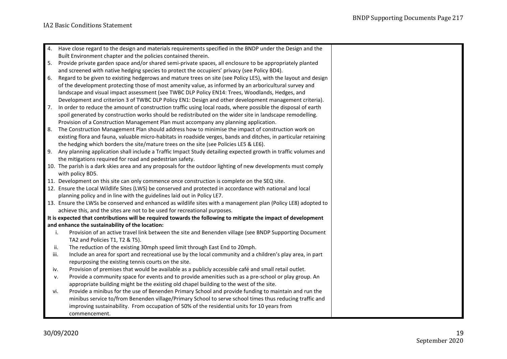| 4.   | Have close regard to the design and materials requirements specified in the BNDP under the Design and the        |
|------|------------------------------------------------------------------------------------------------------------------|
|      | Built Environment chapter and the policies contained therein.                                                    |
| 5.   | Provide private garden space and/or shared semi-private spaces, all enclosure to be appropriately planted        |
|      | and screened with native hedging species to protect the occupiers' privacy (see Policy BD4).                     |
| 6.   | Regard to be given to existing hedgerows and mature trees on site (see Policy LE5), with the layout and design   |
|      | of the development protecting those of most amenity value, as informed by an arboricultural survey and           |
|      | landscape and visual impact assessment (see TWBC DLP Policy EN14: Trees, Woodlands, Hedges, and                  |
|      | Development and criterion 3 of TWBC DLP Policy EN1: Design and other development management criteria).           |
| 7.   | In order to reduce the amount of construction traffic using local roads, where possible the disposal of earth    |
|      | spoil generated by construction works should be redistributed on the wider site in landscape remodelling.        |
|      | Provision of a Construction Management Plan must accompany any planning application.                             |
| 8.   | The Construction Management Plan should address how to minimise the impact of construction work on               |
|      | existing flora and fauna, valuable micro-habitats in roadside verges, bands and ditches, in particular retaining |
|      | the hedging which borders the site/mature trees on the site (see Policies LE5 & LE6).                            |
| 9.   | Any planning application shall include a Traffic Impact Study detailing expected growth in traffic volumes and   |
|      | the mitigations required for road and pedestrian safety.                                                         |
|      | 10. The parish is a dark skies area and any proposals for the outdoor lighting of new developments must comply   |
|      | with policy BD5.                                                                                                 |
|      | 11. Development on this site can only commence once construction is complete on the SEQ site.                    |
|      | 12. Ensure the Local Wildlife Sites (LWS) be conserved and protected in accordance with national and local       |
|      | planning policy and in line with the guidelines laid out in Policy LE7.                                          |
|      | 13. Ensure the LWSs be conserved and enhanced as wildlife sites with a management plan (Policy LE8) adopted to   |
|      | achieve this, and the sites are not to be used for recreational purposes.                                        |
|      | It is expected that contributions will be required towards the following to mitigate the impact of development   |
|      | and enhance the sustainability of the location:                                                                  |
| i.   | Provision of an active travel link between the site and Benenden village (see BNDP Supporting Document           |
|      | TA2 and Policies T1, T2 & T5).                                                                                   |
| ii.  | The reduction of the existing 30mph speed limit through East End to 20mph.                                       |
| iii. | Include an area for sport and recreational use by the local community and a children's play area, in part        |
|      | repurposing the existing tennis courts on the site.                                                              |
| iv.  | Provision of premises that would be available as a publicly accessible café and small retail outlet.             |
| v.   | Provide a community space for events and to provide amenities such as a pre-school or play group. An             |
|      | appropriate building might be the existing old chapel building to the west of the site.                          |
| vi.  | Provide a minibus for the use of Benenden Primary School and provide funding to maintain and run the             |
|      | minibus service to/from Benenden village/Primary School to serve school times thus reducing traffic and          |
|      | improving sustainability. From occupation of 50% of the residential units for 10 years from                      |
|      | commencement.                                                                                                    |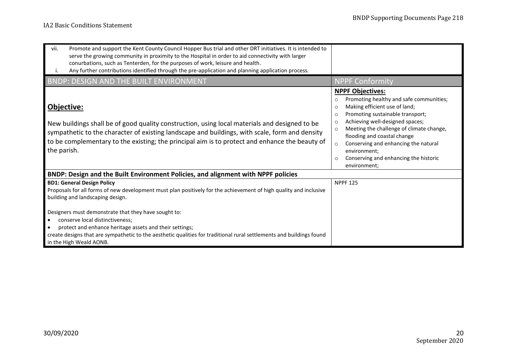| Promote and support the Kent County Council Hopper Bus trial and other DRT initiatives. It is intended to<br>vii.<br>serve the growing community in proximity to the Hospital in order to aid connectivity with larger<br>conurbations, such as Tenterden, for the purposes of work, leisure and health.<br>Any further contributions identified through the pre-application and planning application process.<br>Ι. |                                                                                                                                                                                                                                                                                                                                                                                                                                               |
|----------------------------------------------------------------------------------------------------------------------------------------------------------------------------------------------------------------------------------------------------------------------------------------------------------------------------------------------------------------------------------------------------------------------|-----------------------------------------------------------------------------------------------------------------------------------------------------------------------------------------------------------------------------------------------------------------------------------------------------------------------------------------------------------------------------------------------------------------------------------------------|
| <b>BNDP: DESIGN AND THE BUILT ENVIRONMENT</b>                                                                                                                                                                                                                                                                                                                                                                        | <b>NPPF Conformity</b>                                                                                                                                                                                                                                                                                                                                                                                                                        |
| Objective:<br>New buildings shall be of good quality construction, using local materials and designed to be<br>sympathetic to the character of existing landscape and buildings, with scale, form and density<br>to be complementary to the existing; the principal aim is to protect and enhance the beauty of<br>the parish.                                                                                       | <b>NPPF Objectives:</b><br>Promoting healthy and safe communities;<br>$\circ$<br>Making efficient use of land;<br>$\circ$<br>Promoting sustainable transport;<br>O<br>Achieving well-designed spaces;<br>$\circ$<br>Meeting the challenge of climate change,<br>$\circ$<br>flooding and coastal change<br>Conserving and enhancing the natural<br>$\circ$<br>environment;<br>Conserving and enhancing the historic<br>$\circ$<br>environment; |
| BNDP: Design and the Built Environment Policies, and alignment with NPPF policies                                                                                                                                                                                                                                                                                                                                    |                                                                                                                                                                                                                                                                                                                                                                                                                                               |
| <b>BD1: General Design Policy</b><br>Proposals for all forms of new development must plan positively for the achievement of high quality and inclusive<br>building and landscaping design.                                                                                                                                                                                                                           | <b>NPPF 125</b>                                                                                                                                                                                                                                                                                                                                                                                                                               |
| Designers must demonstrate that they have sought to:<br>conserve local distinctiveness;<br>protect and enhance heritage assets and their settings;<br>create designs that are sympathetic to the aesthetic qualities for traditional rural settlements and buildings found<br>in the High Weald AONB.                                                                                                                |                                                                                                                                                                                                                                                                                                                                                                                                                                               |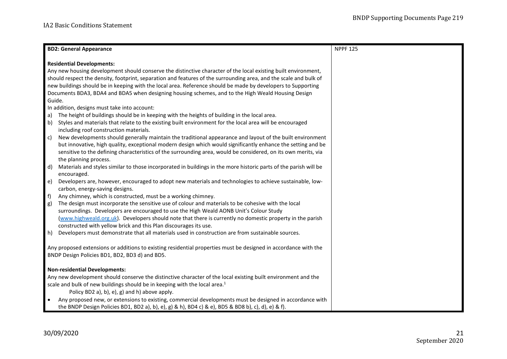| <b>BD2: General Appearance</b>                                                                                         | <b>NPPF 125</b> |  |
|------------------------------------------------------------------------------------------------------------------------|-----------------|--|
| <b>Residential Developments:</b>                                                                                       |                 |  |
| Any new housing development should conserve the distinctive character of the local existing built environment,         |                 |  |
| should respect the density, footprint, separation and features of the surrounding area, and the scale and bulk of      |                 |  |
| new buildings should be in keeping with the local area. Reference should be made by developers to Supporting           |                 |  |
| Documents BDA3, BDA4 and BDA5 when designing housing schemes, and to the High Weald Housing Design                     |                 |  |
| Guide.                                                                                                                 |                 |  |
| In addition, designs must take into account:                                                                           |                 |  |
| The height of buildings should be in keeping with the heights of building in the local area.<br>a)                     |                 |  |
| Styles and materials that relate to the existing built environment for the local area will be encouraged<br>b)         |                 |  |
| including roof construction materials.                                                                                 |                 |  |
| c)<br>New developments should generally maintain the traditional appearance and layout of the built environment        |                 |  |
| but innovative, high quality, exceptional modern design which would significantly enhance the setting and be           |                 |  |
| sensitive to the defining characteristics of the surrounding area, would be considered, on its own merits, via         |                 |  |
| the planning process.                                                                                                  |                 |  |
| d)<br>Materials and styles similar to those incorporated in buildings in the more historic parts of the parish will be |                 |  |
| encouraged.                                                                                                            |                 |  |
| e)<br>Developers are, however, encouraged to adopt new materials and technologies to achieve sustainable, low-         |                 |  |
| carbon, energy-saving designs.                                                                                         |                 |  |
| f)<br>Any chimney, which is constructed, must be a working chimney.                                                    |                 |  |
| The design must incorporate the sensitive use of colour and materials to be cohesive with the local<br>g)              |                 |  |
| surroundings. Developers are encouraged to use the High Weald AONB Unit's Colour Study                                 |                 |  |
| (www.highweald.org.uk). Developers should note that there is currently no domestic property in the parish              |                 |  |
| constructed with yellow brick and this Plan discourages its use.                                                       |                 |  |
| h)<br>Developers must demonstrate that all materials used in construction are from sustainable sources.                |                 |  |
|                                                                                                                        |                 |  |
| Any proposed extensions or additions to existing residential properties must be designed in accordance with the        |                 |  |
| BNDP Design Policies BD1, BD2, BD3 d) and BD5.                                                                         |                 |  |
|                                                                                                                        |                 |  |
| <b>Non-residential Developments:</b>                                                                                   |                 |  |
| Any new development should conserve the distinctive character of the local existing built environment and the          |                 |  |
| scale and bulk of new buildings should be in keeping with the local area. <sup>1</sup>                                 |                 |  |
| Policy BD2 a), b), e), g) and h) above apply.                                                                          |                 |  |
| Any proposed new, or extensions to existing, commercial developments must be designed in accordance with               |                 |  |
| the BNDP Design Policies BD1, BD2 a), b), e), g) & h), BD4 c) & e), BD5 & BD8 b), c), d), e) & f).                     |                 |  |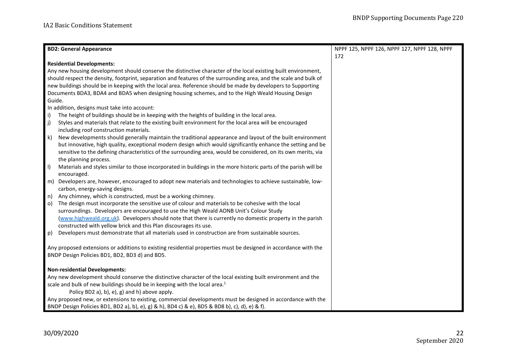| <b>BD2: General Appearance</b>                                                                                                                                    | NPPF 125, NPPF 126, NPPF 127, NPPF 128, NPPF |  |
|-------------------------------------------------------------------------------------------------------------------------------------------------------------------|----------------------------------------------|--|
|                                                                                                                                                                   | 172                                          |  |
| <b>Residential Developments:</b>                                                                                                                                  |                                              |  |
| Any new housing development should conserve the distinctive character of the local existing built environment,                                                    |                                              |  |
| should respect the density, footprint, separation and features of the surrounding area, and the scale and bulk of                                                 |                                              |  |
| new buildings should be in keeping with the local area. Reference should be made by developers to Supporting                                                      |                                              |  |
| Documents BDA3, BDA4 and BDA5 when designing housing schemes, and to the High Weald Housing Design                                                                |                                              |  |
| Guide.                                                                                                                                                            |                                              |  |
| In addition, designs must take into account:                                                                                                                      |                                              |  |
| The height of buildings should be in keeping with the heights of building in the local area.<br>i)                                                                |                                              |  |
| $ j\rangle$<br>Styles and materials that relate to the existing built environment for the local area will be encouraged                                           |                                              |  |
| including roof construction materials.                                                                                                                            |                                              |  |
| New developments should generally maintain the traditional appearance and layout of the built environment<br>k)                                                   |                                              |  |
| but innovative, high quality, exceptional modern design which would significantly enhance the setting and be                                                      |                                              |  |
| sensitive to the defining characteristics of the surrounding area, would be considered, on its own merits, via                                                    |                                              |  |
| the planning process.                                                                                                                                             |                                              |  |
| $  \ \ $<br>Materials and styles similar to those incorporated in buildings in the more historic parts of the parish will be                                      |                                              |  |
| encouraged.                                                                                                                                                       |                                              |  |
| Developers are, however, encouraged to adopt new materials and technologies to achieve sustainable, low-<br>m)                                                    |                                              |  |
| carbon, energy-saving designs.                                                                                                                                    |                                              |  |
| Any chimney, which is constructed, must be a working chimney.<br>n)                                                                                               |                                              |  |
| The design must incorporate the sensitive use of colour and materials to be cohesive with the local<br>$\circ$ )                                                  |                                              |  |
| surroundings. Developers are encouraged to use the High Weald AONB Unit's Colour Study                                                                            |                                              |  |
| (www.highweald.org.uk). Developers should note that there is currently no domestic property in the parish                                                         |                                              |  |
| constructed with yellow brick and this Plan discourages its use.                                                                                                  |                                              |  |
| Developers must demonstrate that all materials used in construction are from sustainable sources.<br>p)                                                           |                                              |  |
|                                                                                                                                                                   |                                              |  |
| Any proposed extensions or additions to existing residential properties must be designed in accordance with the<br>BNDP Design Policies BD1, BD2, BD3 d) and BD5. |                                              |  |
|                                                                                                                                                                   |                                              |  |
| <b>Non-residential Developments:</b>                                                                                                                              |                                              |  |
| Any new development should conserve the distinctive character of the local existing built environment and the                                                     |                                              |  |
| scale and bulk of new buildings should be in keeping with the local area. <sup>1</sup>                                                                            |                                              |  |
| Policy BD2 a), b), e), g) and h) above apply.                                                                                                                     |                                              |  |
| Any proposed new, or extensions to existing, commercial developments must be designed in accordance with the                                                      |                                              |  |
| BNDP Design Policies BD1, BD2 a), b), e), g) & h), BD4 c) & e), BD5 & BD8 b), c), d), e) & f).                                                                    |                                              |  |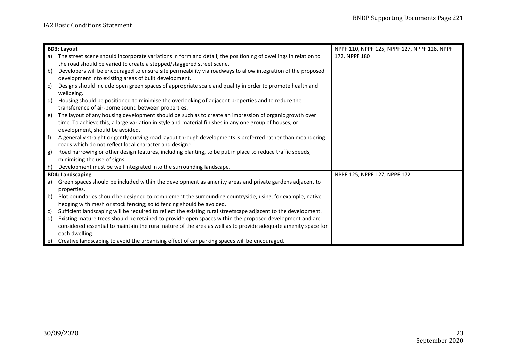| <b>BD3: Layout</b> |                                                                                                                | NPPF 110, NPPF 125, NPPF 127, NPPF 128, NPPF |
|--------------------|----------------------------------------------------------------------------------------------------------------|----------------------------------------------|
| a)                 | The street scene should incorporate variations in form and detail; the positioning of dwellings in relation to | 172, NPPF 180                                |
|                    | the road should be varied to create a stepped/staggered street scene.                                          |                                              |
| b)                 | Developers will be encouraged to ensure site permeability via roadways to allow integration of the proposed    |                                              |
|                    | development into existing areas of built development.                                                          |                                              |
| l c)               | Designs should include open green spaces of appropriate scale and quality in order to promote health and       |                                              |
|                    | wellbeing.                                                                                                     |                                              |
| $\mathsf{d}$       | Housing should be positioned to minimise the overlooking of adjacent properties and to reduce the              |                                              |
|                    | transference of air-borne sound between properties.                                                            |                                              |
| e)                 | The layout of any housing development should be such as to create an impression of organic growth over         |                                              |
|                    | time. To achieve this, a large variation in style and material finishes in any one group of houses, or         |                                              |
|                    | development, should be avoided.                                                                                |                                              |
| f                  | A generally straight or gently curving road layout through developments is preferred rather than meandering    |                                              |
|                    | roads which do not reflect local character and design. <sup>8</sup>                                            |                                              |
| g)                 | Road narrowing or other design features, including planting, to be put in place to reduce traffic speeds,      |                                              |
|                    | minimising the use of signs.                                                                                   |                                              |
| ∎h)                | Development must be well integrated into the surrounding landscape.                                            |                                              |
|                    | <b>BD4: Landscaping</b>                                                                                        | NPPF 125, NPPF 127, NPPF 172                 |
| a)                 | Green spaces should be included within the development as amenity areas and private gardens adjacent to        |                                              |
|                    | properties.                                                                                                    |                                              |
| $\vert b \rangle$  | Plot boundaries should be designed to complement the surrounding countryside, using, for example, native       |                                              |
|                    | hedging with mesh or stock fencing; solid fencing should be avoided.                                           |                                              |
| c)                 | Sufficient landscaping will be required to reflect the existing rural streetscape adjacent to the development. |                                              |
| d)                 | Existing mature trees should be retained to provide open spaces within the proposed development and are        |                                              |
|                    | considered essential to maintain the rural nature of the area as well as to provide adequate amenity space for |                                              |
|                    | each dwelling.                                                                                                 |                                              |
| $\vert e \rangle$  | Creative landscaping to avoid the urbanising effect of car parking spaces will be encouraged.                  |                                              |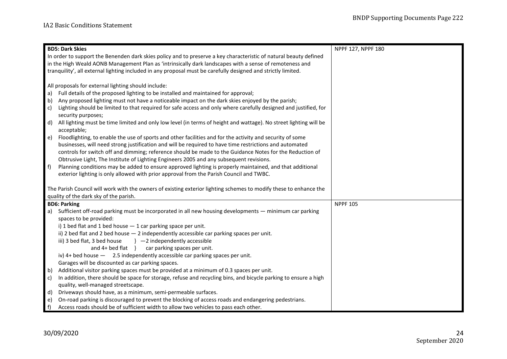| <b>BD5: Dark Skies</b>                                                                                                                       | NPPF 127, NPPF 180 |
|----------------------------------------------------------------------------------------------------------------------------------------------|--------------------|
| In order to support the Benenden dark skies policy and to preserve a key characteristic of natural beauty defined                            |                    |
| in the High Weald AONB Management Plan as 'intrinsically dark landscapes with a sense of remoteness and                                      |                    |
| tranquility', all external lighting included in any proposal must be carefully designed and strictly limited.                                |                    |
|                                                                                                                                              |                    |
| All proposals for external lighting should include:                                                                                          |                    |
| Full details of the proposed lighting to be installed and maintained for approval;<br>a)                                                     |                    |
| Any proposed lighting must not have a noticeable impact on the dark skies enjoyed by the parish;<br>b)                                       |                    |
| Lighting should be limited to that required for safe access and only where carefully designed and justified, for<br>c)<br>security purposes; |                    |
| d)<br>All lighting must be time limited and only low level (in terms of height and wattage). No street lighting will be                      |                    |
| acceptable;                                                                                                                                  |                    |
| e)<br>Floodlighting, to enable the use of sports and other facilities and for the activity and security of some                              |                    |
| businesses, will need strong justification and will be required to have time restrictions and automated                                      |                    |
| controls for switch off and dimming; reference should be made to the Guidance Notes for the Reduction of                                     |                    |
| Obtrusive Light, The Institute of Lighting Engineers 2005 and any subsequent revisions.                                                      |                    |
| f<br>Planning conditions may be added to ensure approved lighting is properly maintained, and that additional                                |                    |
| exterior lighting is only allowed with prior approval from the Parish Council and TWBC.                                                      |                    |
|                                                                                                                                              |                    |
| The Parish Council will work with the owners of existing exterior lighting schemes to modify these to enhance the                            |                    |
| quality of the dark sky of the parish.                                                                                                       |                    |
| <b>BD6: Parking</b>                                                                                                                          | <b>NPPF 105</b>    |
| Sufficient off-road parking must be incorporated in all new housing developments — minimum car parking<br>a)                                 |                    |
| spaces to be provided:                                                                                                                       |                    |
| i) 1 bed flat and 1 bed house - 1 car parking space per unit.                                                                                |                    |
| ii) 2 bed flat and 2 bed house - 2 independently accessible car parking spaces per unit.                                                     |                    |
| iii) 3 bed flat, 3 bed house<br>$\}$ -2 independently accessible                                                                             |                    |
| and 4+ bed flat } car parking spaces per unit.                                                                                               |                    |
| iv) $4+$ bed house $-$ 2.5 independently accessible car parking spaces per unit.                                                             |                    |
| Garages will be discounted as car parking spaces.                                                                                            |                    |
| Additional visitor parking spaces must be provided at a minimum of 0.3 spaces per unit.<br>b)                                                |                    |
| In addition, there should be space for storage, refuse and recycling bins, and bicycle parking to ensure a high<br>c)                        |                    |
| quality, well-managed streetscape.                                                                                                           |                    |
| Driveways should have, as a minimum, semi-permeable surfaces.<br>d)                                                                          |                    |
| On-road parking is discouraged to prevent the blocking of access roads and endangering pedestrians.<br>e)                                    |                    |
| f)<br>Access roads should be of sufficient width to allow two vehicles to pass each other.                                                   |                    |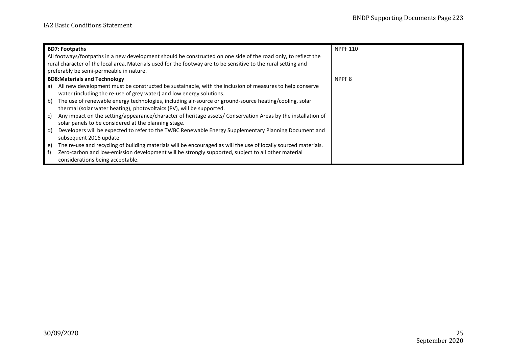| <b>BD7: Footpaths</b>                                                                                                         | <b>NPPF 110</b>   |
|-------------------------------------------------------------------------------------------------------------------------------|-------------------|
| All footways/footpaths in a new development should be constructed on one side of the road only, to reflect the                |                   |
| rural character of the local area. Materials used for the footway are to be sensitive to the rural setting and                |                   |
| preferably be semi-permeable in nature.                                                                                       |                   |
| <b>BD8:Materials and Technology</b>                                                                                           | NPPF <sub>8</sub> |
| All new development must be constructed be sustainable, with the inclusion of measures to help conserve<br>a)                 |                   |
| water (including the re-use of grey water) and low energy solutions.                                                          |                   |
| b)<br>The use of renewable energy technologies, including air-source or ground-source heating/cooling, solar                  |                   |
| thermal (solar water heating), photovoltaics (PV), will be supported.                                                         |                   |
| Any impact on the setting/appearance/character of heritage assets/ Conservation Areas by the installation of<br>c)            |                   |
| solar panels to be considered at the planning stage.                                                                          |                   |
| $\mathsf{d}$<br>Developers will be expected to refer to the TWBC Renewable Energy Supplementary Planning Document and         |                   |
| subsequent 2016 update.                                                                                                       |                   |
| The re-use and recycling of building materials will be encouraged as will the use of locally sourced materials.<br>$\epsilon$ |                   |
| Zero-carbon and low-emission development will be strongly supported, subject to all other material<br>l f)                    |                   |
| considerations being acceptable.                                                                                              |                   |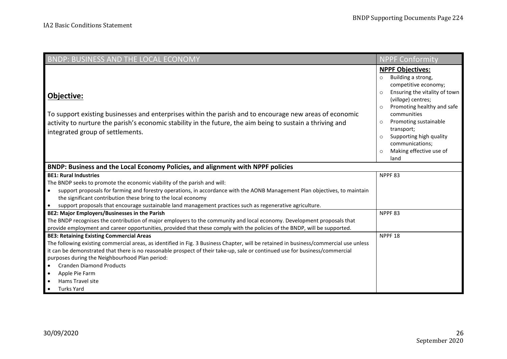| <b>BNDP: BUSINESS AND THE LOCAL ECONOMY</b>                                                                                                                                                                                                                                                                                                                                                                                                                                                                    | <b>NPPF Conformity</b>                                                                                                                                                                                                                                                                                                                                              |
|----------------------------------------------------------------------------------------------------------------------------------------------------------------------------------------------------------------------------------------------------------------------------------------------------------------------------------------------------------------------------------------------------------------------------------------------------------------------------------------------------------------|---------------------------------------------------------------------------------------------------------------------------------------------------------------------------------------------------------------------------------------------------------------------------------------------------------------------------------------------------------------------|
| Objective:<br>To support existing businesses and enterprises within the parish and to encourage new areas of economic<br>activity to nurture the parish's economic stability in the future, the aim being to sustain a thriving and<br>integrated group of settlements.                                                                                                                                                                                                                                        | <b>NPPF Objectives:</b><br>Building a strong,<br>$\circ$<br>competitive economy;<br>Ensuring the vitality of town<br>$\circ$<br>(village) centres;<br>Promoting healthy and safe<br>$\circ$<br>communities<br>Promoting sustainable<br>$\circ$<br>transport;<br>Supporting high quality<br>$\circ$<br>communications;<br>Making effective use of<br>$\circ$<br>land |
| BNDP: Business and the Local Economy Policies, and alignment with NPPF policies                                                                                                                                                                                                                                                                                                                                                                                                                                |                                                                                                                                                                                                                                                                                                                                                                     |
| <b>BE1: Rural Industries</b><br>The BNDP seeks to promote the economic viability of the parish and will:<br>support proposals for farming and forestry operations, in accordance with the AONB Management Plan objectives, to maintain<br>$\bullet$<br>the significant contribution these bring to the local economy<br>support proposals that encourage sustainable land management practices such as regenerative agriculture.<br>$\bullet$                                                                  | NPPF83                                                                                                                                                                                                                                                                                                                                                              |
| BE2: Major Employers/Businesses in the Parish<br>The BNDP recognises the contribution of major employers to the community and local economy. Development proposals that<br>provide employment and career opportunities, provided that these comply with the policies of the BNDP, will be supported.                                                                                                                                                                                                           | NPPF <sub>83</sub>                                                                                                                                                                                                                                                                                                                                                  |
| <b>BE3: Retaining Existing Commercial Areas</b><br>The following existing commercial areas, as identified in Fig. 3 Business Chapter, will be retained in business/commercial use unless<br>it can be demonstrated that there is no reasonable prospect of their take-up, sale or continued use for business/commercial<br>purposes during the Neighbourhood Plan period:<br><b>Cranden Diamond Products</b><br>$\bullet$<br>Apple Pie Farm<br>$\bullet$<br>Hams Travel site<br><b>Turks Yard</b><br>$\bullet$ | NPPF <sub>18</sub>                                                                                                                                                                                                                                                                                                                                                  |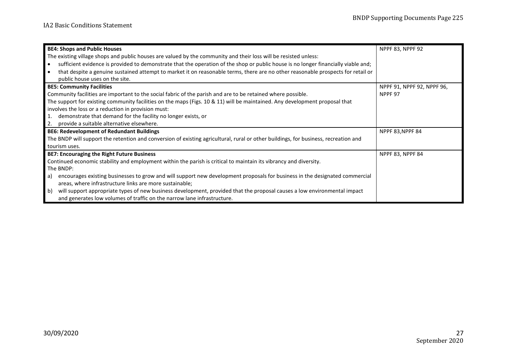| <b>BE4: Shops and Public Houses</b>                                                                                                             | <b>NPPF 83, NPPF 92</b>    |
|-------------------------------------------------------------------------------------------------------------------------------------------------|----------------------------|
| The existing village shops and public houses are valued by the community and their loss will be resisted unless:                                |                            |
| sufficient evidence is provided to demonstrate that the operation of the shop or public house is no longer financially viable and;<br>$\bullet$ |                            |
| that despite a genuine sustained attempt to market it on reasonable terms, there are no other reasonable prospects for retail or                |                            |
| public house uses on the site.                                                                                                                  |                            |
| <b>BE5: Community Facilities</b>                                                                                                                | NPPF 91, NPPF 92, NPPF 96, |
| Community facilities are important to the social fabric of the parish and are to be retained where possible.                                    | NPPF 97                    |
| The support for existing community facilities on the maps (Figs. 10 & 11) will be maintained. Any development proposal that                     |                            |
| involves the loss or a reduction in provision must:                                                                                             |                            |
| demonstrate that demand for the facility no longer exists, or<br>1.                                                                             |                            |
| provide a suitable alternative elsewhere.<br>2.                                                                                                 |                            |
| <b>BE6: Redevelopment of Redundant Buildings</b>                                                                                                | NPPF 83, NPPF 84           |
| The BNDP will support the retention and conversion of existing agricultural, rural or other buildings, for business, recreation and             |                            |
| tourism uses.                                                                                                                                   |                            |
| <b>BE7: Encouraging the Right Future Business</b>                                                                                               | <b>NPPF 83, NPPF 84</b>    |
| Continued economic stability and employment within the parish is critical to maintain its vibrancy and diversity.                               |                            |
| The BNDP:                                                                                                                                       |                            |
| encourages existing businesses to grow and will support new development proposals for business in the designated commercial<br>a)               |                            |
| areas, where infrastructure links are more sustainable;                                                                                         |                            |
| will support appropriate types of new business development, provided that the proposal causes a low environmental impact<br>b)                  |                            |
| and generates low volumes of traffic on the narrow lane infrastructure.                                                                         |                            |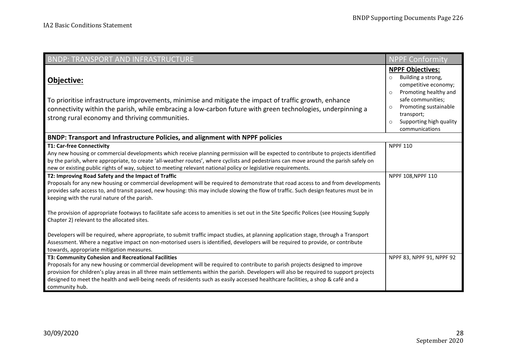| BNDP: TRANSPORT AND INFRASTRUCTURE                                                                                                                                                                                                                                                                                                                                                                                                                                                     | <b>NPPF Conformity</b>                                                                                                                                                                                                                              |
|----------------------------------------------------------------------------------------------------------------------------------------------------------------------------------------------------------------------------------------------------------------------------------------------------------------------------------------------------------------------------------------------------------------------------------------------------------------------------------------|-----------------------------------------------------------------------------------------------------------------------------------------------------------------------------------------------------------------------------------------------------|
| Objective:<br>To prioritise infrastructure improvements, minimise and mitigate the impact of traffic growth, enhance<br>connectivity within the parish, while embracing a low-carbon future with green technologies, underpinning a<br>strong rural economy and thriving communities.                                                                                                                                                                                                  | <b>NPPF Objectives:</b><br>Building a strong,<br>$\circ$<br>competitive economy;<br>Promoting healthy and<br>$\circ$<br>safe communities;<br>Promoting sustainable<br>$\circ$<br>transport;<br>Supporting high quality<br>$\circ$<br>communications |
| BNDP: Transport and Infrastructure Policies, and alignment with NPPF policies                                                                                                                                                                                                                                                                                                                                                                                                          |                                                                                                                                                                                                                                                     |
| <b>T1: Car-free Connectivity</b><br>Any new housing or commercial developments which receive planning permission will be expected to contribute to projects identified<br>by the parish, where appropriate, to create 'all-weather routes', where cyclists and pedestrians can move around the parish safely on<br>new or existing public rights of way, subject to meeting relevant national policy or legislative requirements.                                                      | <b>NPPF 110</b>                                                                                                                                                                                                                                     |
| T2: Improving Road Safety and the Impact of Traffic<br>Proposals for any new housing or commercial development will be required to demonstrate that road access to and from developments<br>provides safe access to, and transit passed, new housing: this may include slowing the flow of traffic. Such design features must be in<br>keeping with the rural nature of the parish.                                                                                                    | NPPF 108, NPPF 110                                                                                                                                                                                                                                  |
| The provision of appropriate footways to facilitate safe access to amenities is set out in the Site Specific Polices (see Housing Supply<br>Chapter 2) relevant to the allocated sites.                                                                                                                                                                                                                                                                                                |                                                                                                                                                                                                                                                     |
| Developers will be required, where appropriate, to submit traffic impact studies, at planning application stage, through a Transport<br>Assessment. Where a negative impact on non-motorised users is identified, developers will be required to provide, or contribute<br>towards, appropriate mitigation measures.                                                                                                                                                                   |                                                                                                                                                                                                                                                     |
| T3: Community Cohesion and Recreational Facilities<br>Proposals for any new housing or commercial development will be required to contribute to parish projects designed to improve<br>provision for children's play areas in all three main settlements within the parish. Developers will also be required to support projects<br>designed to meet the health and well-being needs of residents such as easily accessed healthcare facilities, a shop & café and a<br>community hub. | NPPF 83, NPPF 91, NPPF 92                                                                                                                                                                                                                           |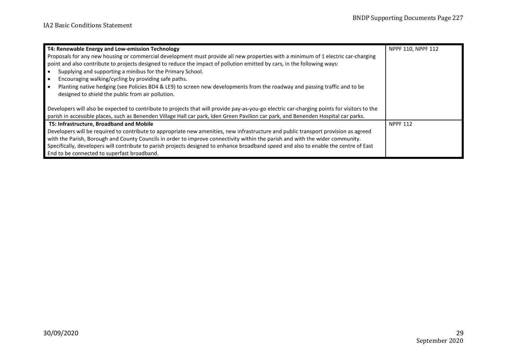| T4: Renewable Energy and Low-emission Technology                                                                                            | NPPF 110, NPPF 112 |
|---------------------------------------------------------------------------------------------------------------------------------------------|--------------------|
| Proposals for any new housing or commercial development must provide all new properties with a minimum of 1 electric car-charging           |                    |
| point and also contribute to projects designed to reduce the impact of pollution emitted by cars, in the following ways:                    |                    |
| Supplying and supporting a minibus for the Primary School.                                                                                  |                    |
| Encouraging walking/cycling by providing safe paths.                                                                                        |                    |
| Planting native hedging (see Policies BD4 & LE9) to screen new developments from the roadway and passing traffic and to be                  |                    |
| designed to shield the public from air pollution.                                                                                           |                    |
|                                                                                                                                             |                    |
| Developers will also be expected to contribute to projects that will provide pay-as-you-go electric car-charging points for visitors to the |                    |
| parish in accessible places, such as Benenden Village Hall car park, Iden Green Pavilion car park, and Benenden Hospital car parks.         |                    |
| T5: Infrastructure, Broadband and Mobile                                                                                                    | <b>NPPF 112</b>    |
| Developers will be required to contribute to appropriate new amenities, new infrastructure and public transport provision as agreed         |                    |
| with the Parish, Borough and County Councils in order to improve connectivity within the parish and with the wider community.               |                    |
| Specifically, developers will contribute to parish projects designed to enhance broadband speed and also to enable the centre of East       |                    |
| End to be connected to superfast broadband.                                                                                                 |                    |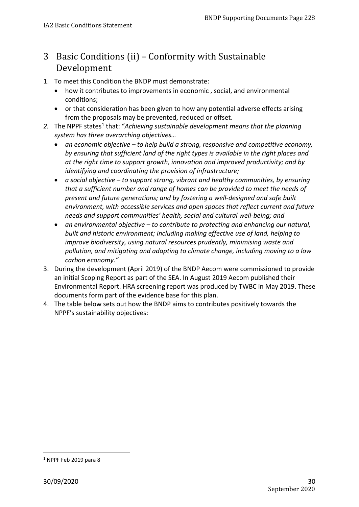## <span id="page-29-0"></span>3 Basic Conditions (ii) – Conformity with Sustainable Development

- 1. To meet this Condition the BNDP must demonstrate:
	- how it contributes to improvements in economic , social, and environmental conditions;
	- or that consideration has been given to how any potential adverse effects arising from the proposals may be prevented, reduced or offset.
- 2. The NPPF states<sup>[1](#page-29-1)</sup> that: "Achieving sustainable development means that the planning *system has three overarching objectives…* 
	- *an economic objective to help build a strong, responsive and competitive economy, by ensuring that sufficient land of the right types is available in the right places and at the right time to support growth, innovation and improved productivity; and by identifying and coordinating the provision of infrastructure;*
	- *a social objective to support strong, vibrant and healthy communities, by ensuring that a sufficient number and range of homes can be provided to meet the needs of present and future generations; and by fostering a well-designed and safe built environment, with accessible services and open spaces that reflect current and future needs and support communities' health, social and cultural well-being; and*
	- *an environmental objective to contribute to protecting and enhancing our natural, built and historic environment; including making effective use of land, helping to improve biodiversity, using natural resources prudently, minimising waste and pollution, and mitigating and adapting to climate change, including moving to a low carbon economy."*
- 3. During the development (April 2019) of the BNDP Aecom were commissioned to provide an initial Scoping Report as part of the SEA. In August 2019 Aecom published their Environmental Report. HRA screening report was produced by TWBC in May 2019. These documents form part of the evidence base for this plan.
- 4. The table below sets out how the BNDP aims to contributes positively towards the NPPF's sustainability objectives:

 $\overline{a}$ 

<span id="page-29-1"></span> $1$  NPPF Feb 2019 para 8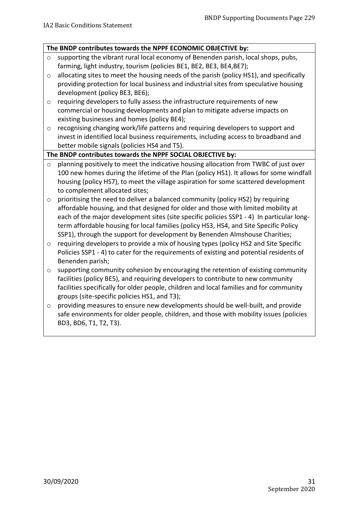#### **The BNDP contributes towards the NPPF ECONOMIC OBJECTIVE by:**

- o supporting the vibrant rural local economy of Benenden parish, local shops, pubs, farming, light industry, tourism (policies BE1, BE2, BE3, BE4,BE7);
- o allocating sites to meet the housing needs of the parish (policy HS1), and specifically providing protection for local business and industrial sites from speculative housing development (policy BE3, BE6);
- $\circ$  requiring developers to fully assess the infrastructure requirements of new commercial or housing developments and plan to mitigate adverse impacts on existing businesses and homes (policy BE4);
- $\circ$  recognising changing work/life patterns and requiring developers to support and invest in identified local business requirements, including access to broadband and better mobile signals (policies HS4 and T5).

#### **The BNDP contributes towards the NPPF SOCIAL OBJECTIVE by:**

- o planning positively to meet the indicative housing allocation from TWBC of just over 100 new homes during the lifetime of the Plan (policy HS1). It allows for some windfall housing (policy HS7), to meet the village aspiration for some scattered development to complement allocated sites;
- o prioritising the need to deliver a balanced community (policy HS2) by requiring affordable housing, and that designed for older and those with limited mobility at each of the major development sites (site specific policies SSP1 - 4) In particular longterm affordable housing for local families (policy HS3, HS4, and Site Specific Policy SSP1), through the support for development by Benenden Almshouse Charities;
- o requiring developers to provide a mix of housing types (policy HS2 and Site Specific Policies SSP1 - 4) to cater for the requirements of existing and potential residents of Benenden parish;
- o supporting community cohesion by encouraging the retention of existing community facilities (policy BE5), and requiring developers to contribute to new community facilities specifically for older people, children and local families and for community groups (site-specific policies HS1, and T3);
- $\circ$  providing measures to ensure new developments should be well-built, and provide safe environments for older people, children, and those with mobility issues (policies BD3, BD6, T1, T2, T3).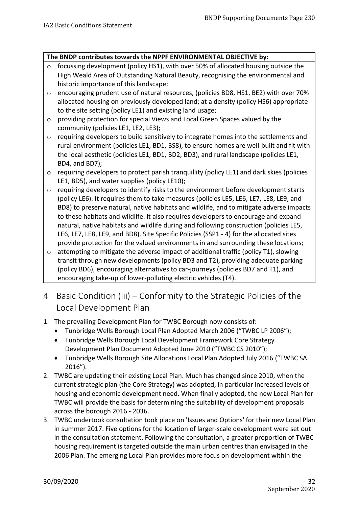#### **The BNDP contributes towards the NPPF ENVIRONMENTAL OBJECTIVE by:**

- o focussing development (policy HS1), with over 50% of allocated housing outside the High Weald Area of Outstanding Natural Beauty, recognising the environmental and historic importance of this landscape;
- $\circ$  encouraging prudent use of natural resources, (policies BD8, HS1, BE2) with over 70% allocated housing on previously developed land; at a density (policy HS6) appropriate to the site setting (policy LE1) and existing land usage;
- o providing protection for special Views and Local Green Spaces valued by the community (policies LE1, LE2, LE3);
- o requiring developers to build sensitively to integrate homes into the settlements and rural environment (policies LE1, BD1, BS8), to ensure homes are well-built and fit with the local aesthetic (policies LE1, BD1, BD2, BD3), and rural landscape (policies LE1, BD4, and BD7);
- o requiring developers to protect parish tranquillity (policy LE1) and dark skies (policies LE1, BD5), and water supplies (policy LE10);
- o requiring developers to identify risks to the environment before development starts (policy LE6). It requires them to take measures (policies LE5, LE6, LE7, LE8, LE9, and BD8) to preserve natural, native habitats and wildlife, and to mitigate adverse impacts to these habitats and wildlife. It also requires developers to encourage and expand natural, native habitats and wildlife during and following construction (policies LE5, LE6, LE7, LE8, LE9, and BD8). Site Specific Policies (SSP1 - 4) for the allocated sites provide protection for the valued environments in and surrounding these locations;
- $\circ$  attempting to mitigate the adverse impact of additional traffic (policy T1), slowing transit through new developments (policy BD3 and T2), providing adequate parking (policy BD6), encouraging alternatives to car-journeys (policies BD7 and T1), and encouraging take-up of lower-polluting electric vehicles (T4).
- <span id="page-31-0"></span>4 Basic Condition (iii) – Conformity to the Strategic Policies of the Local Development Plan
- 1. The prevailing Development Plan for TWBC Borough now consists of:
	- Tunbridge Wells Borough Local Plan Adopted March 2006 ("TWBC LP 2006");
	- Tunbridge Wells Borough Local Development Framework Core Strategy Development Plan Document Adopted June 2010 ("TWBC CS 2010");
	- Tunbridge Wells Borough Site Allocations Local Plan Adopted July 2016 ("TWBC SA 2016").
- 2. TWBC are updating their existing Local Plan. Much has changed since 2010, when the current strategic plan (the Core Strategy) was adopted, in particular increased levels of housing and economic development need. When finally adopted, the new Local Plan for TWBC will provide the basis for determining the suitability of development proposals across the borough 2016 - 2036.
- 3. TWBC undertook consultation took place on 'Issues and Options' for their new Local Plan in summer 2017. Five options for the location of larger-scale development were set out in the consultation statement. Following the consultation, a greater proportion of TWBC housing requirement is targeted outside the main urban centres than envisaged in the 2006 Plan. The emerging Local Plan provides more focus on development within the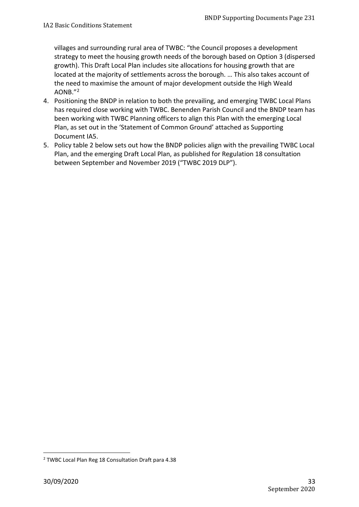villages and surrounding rural area of TWBC: "the Council proposes a development strategy to meet the housing growth needs of the borough based on Option 3 (dispersed growth). This Draft Local Plan includes site allocations for housing growth that are located at the majority of settlements across the borough. … This also takes account of the need to maximise the amount of major development outside the High Weald AONB."[2](#page-32-0)

- 4. Positioning the BNDP in relation to both the prevailing, and emerging TWBC Local Plans has required close working with TWBC. Benenden Parish Council and the BNDP team has been working with TWBC Planning officers to align this Plan with the emerging Local Plan, as set out in the 'Statement of Common Ground' attached as Supporting Document IA5.
- 5. Policy table 2 below sets out how the BNDP policies align with the prevailing TWBC Local Plan, and the emerging Draft Local Plan, as published for Regulation 18 consultation between September and November 2019 ("TWBC 2019 DLP").

 $\overline{a}$ 

<span id="page-32-0"></span><sup>2</sup> TWBC Local Plan Reg 18 Consultation Draft para 4.38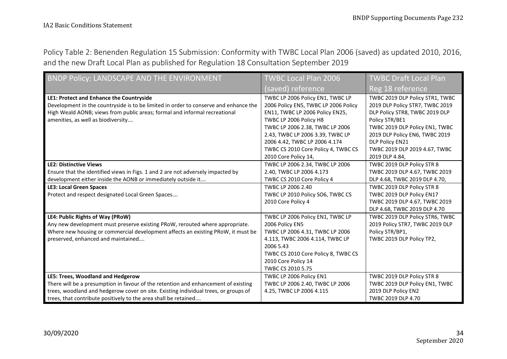Policy Table 2: Benenden Regulation 15 Submission: Conformity with TWBC Local Plan 2006 (saved) as updated 2010, 2016, and the new Draft Local Plan as published for Regulation 18 Consultation September 2019

| BNDP Policy: LANDSCAPE AND THE ENVIRONMENT                                           | <b>TWBC Local Plan 2006</b>          | <b>TWBC Draft Local Plan</b>    |
|--------------------------------------------------------------------------------------|--------------------------------------|---------------------------------|
|                                                                                      | (saved) reference                    | Reg 18 reference                |
| LE1: Protect and Enhance the Countryside                                             | TWBC LP 2006 Policy EN1, TWBC LP     | TWBC 2019 DLP Policy STR1, TWBC |
| Development in the countryside is to be limited in order to conserve and enhance the | 2006 Policy EN5, TWBC LP 2006 Policy | 2019 DLP Policy STR7, TWBC 2019 |
| High Weald AONB; views from public areas; formal and informal recreational           | EN11, TWBC LP 2006 Policy EN25,      | DLP Policy STR8, TWBC 2019 DLP  |
| amenities, as well as biodiversity                                                   | TWBC LP 2006 Policy H8               | Policy STR/BE1                  |
|                                                                                      | TWBC LP 2006 2.38, TWBC LP 2006      | TWBC 2019 DLP Policy EN1, TWBC  |
|                                                                                      | 2.43, TWBC LP 2006 3.39, TWBC LP     | 2019 DLP Policy EN6, TWBC 2019  |
|                                                                                      | 2006 4.42, TWBC LP 2006 4.174        | DLP Policy EN21                 |
|                                                                                      | TWBC CS 2010 Core Policy 4, TWBC CS  | TWBC 2019 DLP 2019 4.67, TWBC   |
|                                                                                      | 2010 Core Policy 14,                 | 2019 DLP 4.84,                  |
| <b>LE2: Distinctive Views</b>                                                        | TWBC LP 2006 2.34, TWBC LP 2006      | TWBC 2019 DLP Policy STR 8      |
| Ensure that the identified views in Figs. 1 and 2 are not adversely impacted by      | 2.40, TWBC LP 2006 4.173             | TWBC 2019 DLP 4.67, TWBC 2019   |
| development either inside the AONB or immediately outside it                         | TWBC CS 2010 Core Policy 4           | DLP 4.68, TWBC 2019 DLP 4.70,   |
| <b>LE3: Local Green Spaces</b>                                                       | TWBC LP 2006 2.40                    | TWBC 2019 DLP Policy STR 8      |
| Protect and respect designated Local Green Spaces                                    | TWBC LP 2010 Policy SO6, TWBC CS     | TWBC 2019 DLP Policy EN17       |
|                                                                                      | 2010 Core Policy 4                   | TWBC 2019 DLP 4.67, TWBC 2019   |
|                                                                                      |                                      | DLP 4.68, TWBC 2019 DLP 4.70    |
| LE4: Public Rights of Way (PRoW)                                                     | TWBC LP 2006 Policy EN1, TWBC LP     | TWBC 2019 DLP Policy STR6, TWBC |
| Any new development must preserve existing PRoW, rerouted where appropriate.         | 2006 Policy EN5                      | 2019 Policy STR7, TWBC 2019 DLP |
| Where new housing or commercial development affects an existing PRoW, it must be     | TWBC LP 2006 4.31, TWBC LP 2006      | Policy STR/BP1,                 |
| preserved, enhanced and maintained                                                   | 4.113, TWBC 2006 4.114, TWBC LP      | TWBC 2019 DLP Policy TP2,       |
|                                                                                      | 2006 5.43                            |                                 |
|                                                                                      | TWBC CS 2010 Core Policy 8, TWBC CS  |                                 |
|                                                                                      | 2010 Core Policy 14                  |                                 |
|                                                                                      | TWBC CS 2010 5.75                    |                                 |
| LE5: Trees, Woodland and Hedgerow                                                    | TWBC LP 2006 Policy EN1              | TWBC 2019 DLP Policy STR 8      |
| There will be a presumption in favour of the retention and enhancement of existing   | TWBC LP 2006 2.40, TWBC LP 2006      | TWBC 2019 DLP Policy EN1, TWBC  |
| trees, woodland and hedgerow cover on site. Existing individual trees, or groups of  | 4.25, TWBC LP 2006 4.115             | 2019 DLP Policy EN2             |
| trees, that contribute positively to the area shall be retained                      |                                      | TWBC 2019 DLP 4.70              |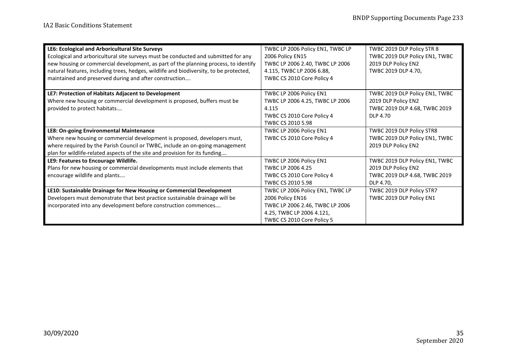| LE6: Ecological and Arboricultural Site Surveys                                        | TWBC LP 2006 Policy EN1, TWBC LP | TWBC 2019 DLP Policy STR 8     |
|----------------------------------------------------------------------------------------|----------------------------------|--------------------------------|
| Ecological and arboricultural site surveys must be conducted and submitted for any     | 2006 Policy EN15                 | TWBC 2019 DLP Policy EN1, TWBC |
| new housing or commercial development, as part of the planning process, to identify    | TWBC LP 2006 2.40, TWBC LP 2006  | 2019 DLP Policy EN2            |
| natural features, including trees, hedges, wildlife and biodiversity, to be protected, | 4.115, TWBC LP 2006 6.88,        | TWBC 2019 DLP 4.70,            |
| maintained and preserved during and after construction                                 | TWBC CS 2010 Core Policy 4       |                                |
| LE7: Protection of Habitats Adjacent to Development                                    | TWBC LP 2006 Policy EN1          | TWBC 2019 DLP Policy EN1, TWBC |
| Where new housing or commercial development is proposed, buffers must be               | TWBC LP 2006 4.25, TWBC LP 2006  | 2019 DLP Policy EN2            |
| provided to protect habitats                                                           | 4.115                            | TWBC 2019 DLP 4.68, TWBC 2019  |
|                                                                                        | TWBC CS 2010 Core Policy 4       | DLP 4.70                       |
|                                                                                        | TWBC CS 2010 5.98                |                                |
| LE8: On-going Environmental Maintenance                                                | TWBC LP 2006 Policy EN1          | TWBC 2019 DLP Policy STR8      |
| Where new housing or commercial development is proposed, developers must,              | TWBC CS 2010 Core Policy 4       | TWBC 2019 DLP Policy EN1, TWBC |
| where required by the Parish Council or TWBC, include an on-going management           |                                  | 2019 DLP Policy EN2            |
| plan for wildlife-related aspects of the site and provision for its funding            |                                  |                                |
| LE9: Features to Encourage Wildlife.                                                   | TWBC LP 2006 Policy EN1          | TWBC 2019 DLP Policy EN1, TWBC |
| Plans for new housing or commercial developments must include elements that            | TWBC LP 2006 4.25                | 2019 DLP Policy EN2            |
| encourage wildlife and plants                                                          | TWBC CS 2010 Core Policy 4       | TWBC 2019 DLP 4.68, TWBC 2019  |
|                                                                                        | TWBC CS 2010 5.98                | DLP 4.70,                      |
| LE10: Sustainable Drainage for New Housing or Commercial Development                   | TWBC LP 2006 Policy EN1, TWBC LP | TWBC 2019 DLP Policy STR7      |
| Developers must demonstrate that best practice sustainable drainage will be            | 2006 Policy EN16                 | TWBC 2019 DLP Policy EN1       |
| incorporated into any development before construction commences                        | TWBC LP 2006 2.46, TWBC LP 2006  |                                |
|                                                                                        | 4.25, TWBC LP 2006 4.121,        |                                |
|                                                                                        | TWBC CS 2010 Core Policy 5       |                                |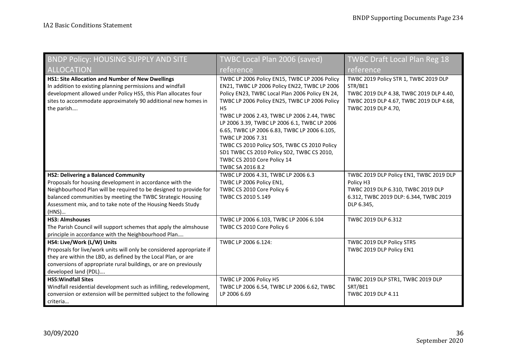| <b>BNDP Policy: HOUSING SUPPLY AND SITE</b>                                                                                                                                                                                                                                                                        | TWBC Local Plan 2006 (saved)                                                                                                                                                                                                                                                                                                                                                                                                                                                                                                            | <b>TWBC Draft Local Plan Reg 18</b>                                                                                                                           |
|--------------------------------------------------------------------------------------------------------------------------------------------------------------------------------------------------------------------------------------------------------------------------------------------------------------------|-----------------------------------------------------------------------------------------------------------------------------------------------------------------------------------------------------------------------------------------------------------------------------------------------------------------------------------------------------------------------------------------------------------------------------------------------------------------------------------------------------------------------------------------|---------------------------------------------------------------------------------------------------------------------------------------------------------------|
| <b>ALLOCATION</b>                                                                                                                                                                                                                                                                                                  | reference                                                                                                                                                                                                                                                                                                                                                                                                                                                                                                                               | reference                                                                                                                                                     |
| HS1: Site Allocation and Number of New Dwellings<br>In addition to existing planning permissions and windfall<br>development allowed under Policy HS5, this Plan allocates four<br>sites to accommodate approximately 90 additional new homes in<br>the parish                                                     | TWBC LP 2006 Policy EN15, TWBC LP 2006 Policy<br>EN21, TWBC LP 2006 Policy EN22, TWBC LP 2006<br>Policy EN23, TWBC Local Plan 2006 Policy EN 24,<br>TWBC LP 2006 Policy EN25, TWBC LP 2006 Policy<br>H <sub>5</sub><br>TWBC LP 2006 2.43, TWBC LP 2006 2.44, TWBC<br>LP 2006 3.39, TWBC LP 2006 6.1, TWBC LP 2006<br>6.65, TWBC LP 2006 6.83, TWBC LP 2006 6.105,<br>TWBC LP 2006 7.31<br>TWBC CS 2010 Policy SO5, TWBC CS 2010 Policy<br>SD1 TWBC CS 2010 Policy SD2, TWBC CS 2010,<br>TWBC CS 2010 Core Policy 14<br>TWBC SA 2016 8.2 | TWBC 2019 Policy STR 1, TWBC 2019 DLP<br>STR/BE1<br>TWBC 2019 DLP 4.38, TWBC 2019 DLP 4.40,<br>TWBC 2019 DLP 4.67, TWBC 2019 DLP 4.68,<br>TWBC 2019 DLP 4.70, |
| <b>HS2: Delivering a Balanced Community</b><br>Proposals for housing development in accordance with the<br>Neighbourhood Plan will be required to be designed to provide for<br>balanced communities by meeting the TWBC Strategic Housing<br>Assessment mix, and to take note of the Housing Needs Study<br>(HNS) | TWBC LP 2006 4.31, TWBC LP 2006 6.3<br>TWBC LP 2006 Policy EN1,<br>TWBC CS 2010 Core Policy 6<br>TWBC CS 2010 5.149                                                                                                                                                                                                                                                                                                                                                                                                                     | TWBC 2019 DLP Policy EN1, TWBC 2019 DLP<br>Policy H3<br>TWBC 2019 DLP 6.310, TWBC 2019 DLP<br>6.312, TWBC 2019 DLP: 6.344, TWBC 2019<br>DLP 6.345,            |
| <b>HS3: Almshouses</b><br>The Parish Council will support schemes that apply the almshouse<br>principle in accordance with the Neighbourhood Plan                                                                                                                                                                  | TWBC LP 2006 6.103, TWBC LP 2006 6.104<br>TWBC CS 2010 Core Policy 6                                                                                                                                                                                                                                                                                                                                                                                                                                                                    | TWBC 2019 DLP 6.312                                                                                                                                           |
| HS4: Live/Work (L/W) Units<br>Proposals for live/work units will only be considered appropriate if<br>they are within the LBD, as defined by the Local Plan, or are<br>conversions of appropriate rural buildings, or are on previously<br>developed land (PDL)                                                    | TWBC LP 2006 6.124:                                                                                                                                                                                                                                                                                                                                                                                                                                                                                                                     | TWBC 2019 DLP Policy STR5<br>TWBC 2019 DLP Policy EN1                                                                                                         |
| <b>HS5: Windfall Sites</b><br>Windfall residential development such as infilling, redevelopment,<br>conversion or extension will be permitted subject to the following<br>criteria                                                                                                                                 | TWBC LP 2006 Policy H5<br>TWBC LP 2006 6.54, TWBC LP 2006 6.62, TWBC<br>LP 2006 6.69                                                                                                                                                                                                                                                                                                                                                                                                                                                    | TWBC 2019 DLP STR1, TWBC 2019 DLP<br>SRT/BE1<br>TWBC 2019 DLP 4.11                                                                                            |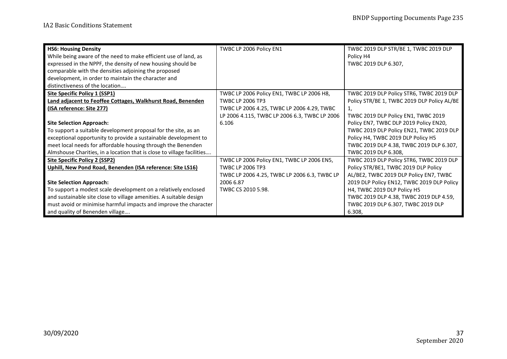| <b>HS6: Housing Density</b>                                            | TWBC LP 2006 Policy EN1                       | TWBC 2019 DLP STR/BE 1, TWBC 2019 DLP       |
|------------------------------------------------------------------------|-----------------------------------------------|---------------------------------------------|
| While being aware of the need to make efficient use of land, as        |                                               | Policy H4                                   |
| expressed in the NPPF, the density of new housing should be            |                                               | TWBC 2019 DLP 6.307,                        |
| comparable with the densities adjoining the proposed                   |                                               |                                             |
| development, in order to maintain the character and                    |                                               |                                             |
| distinctiveness of the location                                        |                                               |                                             |
| <b>Site Specific Policy 1 (SSP1)</b>                                   | TWBC LP 2006 Policy EN1, TWBC LP 2006 H8,     | TWBC 2019 DLP Policy STR6, TWBC 2019 DLP    |
| Land adjacent to Feoffee Cottages, Walkhurst Road, Benenden            | <b>TWBC LP 2006 TP3</b>                       | Policy STR/BE 1, TWBC 2019 DLP Policy AL/BE |
| (ISA reference: Site 277)                                              | TWBC LP 2006 4.25, TWBC LP 2006 4.29, TWBC    | 1,                                          |
|                                                                        | LP 2006 4.115, TWBC LP 2006 6.3, TWBC LP 2006 | TWBC 2019 DLP Policy EN1, TWBC 2019         |
| <b>Site Selection Approach:</b>                                        | 6.106                                         | Policy EN7, TWBC DLP 2019 Policy EN20,      |
| To support a suitable development proposal for the site, as an         |                                               | TWBC 2019 DLP Policy EN21, TWBC 2019 DLP    |
| exceptional opportunity to provide a sustainable development to        |                                               | Policy H4, TWBC 2019 DLP Policy H5          |
| meet local needs for affordable housing through the Benenden           |                                               | TWBC 2019 DLP 4.38, TWBC 2019 DLP 6.307,    |
| Almshouse Charities, in a location that is close to village facilities |                                               | TWBC 2019 DLP 6.308.                        |
| <b>Site Specific Policy 2 (SSP2)</b>                                   | TWBC LP 2006 Policy EN1, TWBC LP 2006 EN5,    | TWBC 2019 DLP Policy STR6, TWBC 2019 DLP    |
| Uphill, New Pond Road, Benenden (ISA reference: Site LS16)             | <b>TWBC LP 2006 TP3</b>                       | Policy STR/BE1, TWBC 2019 DLP Policy        |
|                                                                        | TWBC LP 2006 4.25, TWBC LP 2006 6.3, TWBC LP  | AL/BE2, TWBC 2019 DLP Policy EN7, TWBC      |
| <b>Site Selection Approach:</b>                                        | 2006 6.87                                     | 2019 DLP Policy EN12, TWBC 2019 DLP Policy  |
| To support a modest scale development on a relatively enclosed         | TWBC CS 2010 5.98.                            | H4, TWBC 2019 DLP Policy H5                 |
| and sustainable site close to village amenities. A suitable design     |                                               | TWBC 2019 DLP 4.38, TWBC 2019 DLP 4.59,     |
| must avoid or minimise harmful impacts and improve the character       |                                               | TWBC 2019 DLP 6.307, TWBC 2019 DLP          |
| and quality of Benenden village                                        |                                               | 6.308,                                      |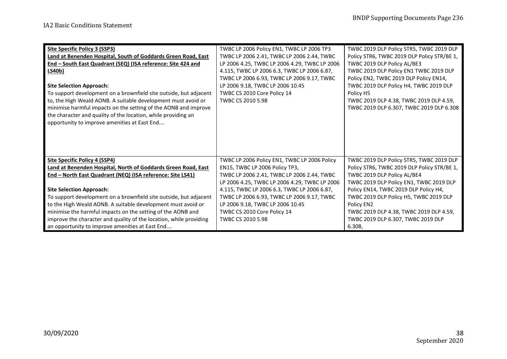| Site Specific Policy 3 (SSP3)                                      | TWBC LP 2006 Policy EN1, TWBC LP 2006 TP3     | TWBC 2019 DLP Policy STR5, TWBC 2019 DLP    |
|--------------------------------------------------------------------|-----------------------------------------------|---------------------------------------------|
| Land at Benenden Hospital, South of Goddards Green Road, East      | TWBC LP 2006 2.41, TWBC LP 2006 2.44, TWBC    | Policy STR6, TWBC 2019 DLP Policy STR/BE 1, |
| End - South East Quadrant (SEQ) (ISA reference: Site 424 and       | LP 2006 4.25, TWBC LP 2006 4.29, TWBC LP 2006 | TWBC 2019 DLP Policy AL/BE3                 |
| <b>LS40b)</b>                                                      | 4.115, TWBC LP 2006 6.3, TWBC LP 2006 6.87,   | TWBC 2019 DLP Policy EN1 TWBC 2019 DLP      |
|                                                                    | TWBC LP 2006 6.93, TWBC LP 2006 9.17, TWBC    | Policy EN2, TWBC 2019 DLP Policy EN14,      |
| <b>Site Selection Approach:</b>                                    | LP 2006 9.18, TWBC LP 2006 10.45              | TWBC 2019 DLP Policy H4, TWBC 2019 DLP      |
| To support development on a brownfield site outside, but adjacent  | TWBC CS 2010 Core Policy 14                   | Policy H5                                   |
| to, the High Weald AONB. A suitable development must avoid or      | TWBC CS 2010 5.98                             | TWBC 2019 DLP 4.38, TWBC 2019 DLP 4.59,     |
| minimise harmful impacts on the setting of the AONB and improve    |                                               | TWBC 2019 DLP 6.307, TWBC 2019 DLP 6.308    |
| the character and quality of the location, while providing an      |                                               |                                             |
| opportunity to improve amenities at East End                       |                                               |                                             |
|                                                                    |                                               |                                             |
|                                                                    |                                               |                                             |
|                                                                    |                                               |                                             |
|                                                                    |                                               |                                             |
| Site Specific Policy 4 (SSP4)                                      | TWBC LP 2006 Policy EN1, TWBC LP 2006 Policy  | TWBC 2019 DLP Policy STR5, TWBC 2019 DLP    |
| Land at Benenden Hospital, North of Goddards Green Road, East      | EN15, TWBC LP 2006 Policy TP3,                | Policy STR6, TWBC 2019 DLP Policy STR/BE 1, |
| End - North East Quadrant (NEQ) (ISA reference: Site LS41)         | TWBC LP 2006 2.41, TWBC LP 2006 2.44, TWBC    | TWBC 2019 DLP Policy AL/BE4                 |
|                                                                    | LP 2006 4.25, TWBC LP 2006 4.29, TWBC LP 2006 | TWBC 2019 DLP Policy EN1, TWBC 2019 DLP     |
| <b>Site Selection Approach:</b>                                    | 4.115, TWBC LP 2006 6.3, TWBC LP 2006 6.87,   | Policy EN14, TWBC 2019 DLP Policy H4,       |
| To support development on a brownfield site outside, but adjacent  | TWBC LP 2006 6.93, TWBC LP 2006 9.17, TWBC    | TWBC 2019 DLP Policy H5, TWBC 2019 DLP      |
| to the High Weald AONB. A suitable development must avoid or       | LP 2006 9.18, TWBC LP 2006 10.45              | Policy EN2                                  |
| minimise the harmful impacts on the setting of the AONB and        | TWBC CS 2010 Core Policy 14                   | TWBC 2019 DLP 4.38, TWBC 2019 DLP 4.59,     |
| improve the character and quality of the location, while providing | TWBC CS 2010 5.98                             | TWBC 2019 DLP 6.307, TWBC 2019 DLP          |
| an opportunity to improve amenities at East End                    |                                               | 6.308.                                      |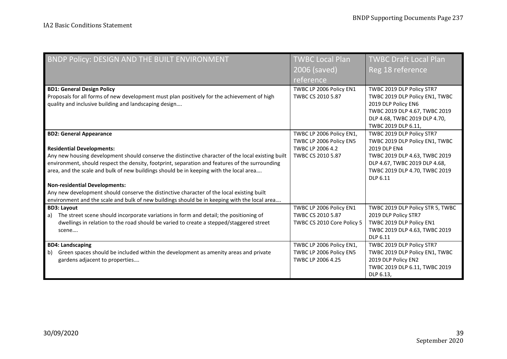| BNDP Policy: DESIGN AND THE BUILT ENVIRONMENT                                                                                         | <b>TWBC Local Plan</b>                      | <b>TWBC Draft Local Plan</b>                   |
|---------------------------------------------------------------------------------------------------------------------------------------|---------------------------------------------|------------------------------------------------|
|                                                                                                                                       | 2006 (saved)                                | Reg 18 reference                               |
|                                                                                                                                       | reference                                   |                                                |
| <b>BD1: General Design Policy</b>                                                                                                     | TWBC LP 2006 Policy EN1                     | TWBC 2019 DLP Policy STR7                      |
| Proposals for all forms of new development must plan positively for the achievement of high                                           | TWBC CS 2010 5.87                           | TWBC 2019 DLP Policy EN1, TWBC                 |
| quality and inclusive building and landscaping design                                                                                 |                                             | 2019 DLP Policy EN6                            |
|                                                                                                                                       |                                             | TWBC 2019 DLP 4.67, TWBC 2019                  |
|                                                                                                                                       |                                             | DLP 4.68, TWBC 2019 DLP 4.70,                  |
|                                                                                                                                       |                                             | TWBC 2019 DLP 6.11,                            |
| <b>BD2: General Appearance</b>                                                                                                        | TWBC LP 2006 Policy EN1,                    | TWBC 2019 DLP Policy STR7                      |
|                                                                                                                                       | TWBC LP 2006 Policy EN5<br>TWBC LP 2006 4.2 | TWBC 2019 DLP Policy EN1, TWBC<br>2019 DLP EN4 |
| <b>Residential Developments:</b><br>Any new housing development should conserve the distinctive character of the local existing built | TWBC CS 2010 5.87                           | TWBC 2019 DLP 4.63, TWBC 2019                  |
| environment, should respect the density, footprint, separation and features of the surrounding                                        |                                             | DLP 4.67, TWBC 2019 DLP 4.68,                  |
| area, and the scale and bulk of new buildings should be in keeping with the local area                                                |                                             | TWBC 2019 DLP 4.70, TWBC 2019                  |
|                                                                                                                                       |                                             | DLP 6.11                                       |
| <b>Non-residential Developments:</b>                                                                                                  |                                             |                                                |
| Any new development should conserve the distinctive character of the local existing built                                             |                                             |                                                |
| environment and the scale and bulk of new buildings should be in keeping with the local area                                          |                                             |                                                |
| <b>BD3: Layout</b>                                                                                                                    | TWBC LP 2006 Policy EN1                     | TWBC 2019 DLP Policy STR 5, TWBC               |
| The street scene should incorporate variations in form and detail; the positioning of<br>a)                                           | TWBC CS 2010 5.87                           | 2019 DLP Policy STR7                           |
| dwellings in relation to the road should be varied to create a stepped/staggered street                                               | TWBC CS 2010 Core Policy 5                  | TWBC 2019 DLP Policy EN1                       |
| scene                                                                                                                                 |                                             | TWBC 2019 DLP 4.63, TWBC 2019                  |
|                                                                                                                                       |                                             | DLP 6.11                                       |
| <b>BD4: Landscaping</b>                                                                                                               | TWBC LP 2006 Policy EN1,                    | TWBC 2019 DLP Policy STR7                      |
| Green spaces should be included within the development as amenity areas and private<br>b)                                             | TWBC LP 2006 Policy EN5                     | TWBC 2019 DLP Policy EN1, TWBC                 |
| gardens adjacent to properties                                                                                                        | TWBC LP 2006 4.25                           | 2019 DLP Policy EN2                            |
|                                                                                                                                       |                                             | TWBC 2019 DLP 6.11, TWBC 2019                  |
|                                                                                                                                       |                                             | DLP 6.13.                                      |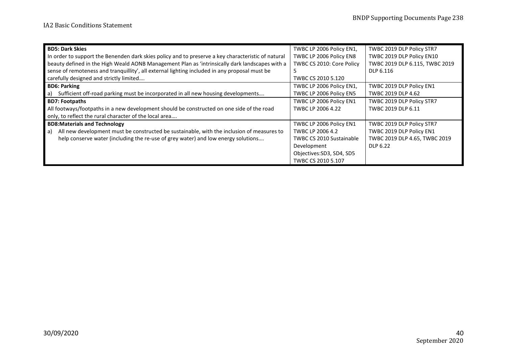| <b>BD5: Dark Skies</b>                                                                             | TWBC LP 2006 Policy EN1,        | TWBC 2019 DLP Policy STR7      |
|----------------------------------------------------------------------------------------------------|---------------------------------|--------------------------------|
| In order to support the Benenden dark skies policy and to preserve a key characteristic of natural | TWBC LP 2006 Policy EN8         | TWBC 2019 DLP Policy EN10      |
| beauty defined in the High Weald AONB Management Plan as 'intrinsically dark landscapes with a     | TWBC CS 2010: Core Policy       | TWBC 2019 DLP 6.115, TWBC 2019 |
| sense of remoteness and tranquillity', all external lighting included in any proposal must be      |                                 | DLP 6.116                      |
| carefully designed and strictly limited                                                            | TWBC CS 2010 5.120              |                                |
| <b>BD6: Parking</b>                                                                                | TWBC LP 2006 Policy EN1,        | TWBC 2019 DLP Policy EN1       |
| a) Sufficient off-road parking must be incorporated in all new housing developments                | TWBC LP 2006 Policy EN5         | TWBC 2019 DLP 4.62             |
| <b>BD7: Footpaths</b>                                                                              | TWBC LP 2006 Policy EN1         | TWBC 2019 DLP Policy STR7      |
| All footways/footpaths in a new development should be constructed on one side of the road          | TWBC LP 2006 4.22               | TWBC 2019 DLP 6.11             |
| only, to reflect the rural character of the local area                                             |                                 |                                |
| <b>BD8:Materials and Technology</b>                                                                | TWBC LP 2006 Policy EN1         | TWBC 2019 DLP Policy STR7      |
| All new development must be constructed be sustainable, with the inclusion of measures to<br>l a)  | TWBC LP 2006 4.2                | TWBC 2019 DLP Policy EN1       |
| help conserve water (including the re-use of grey water) and low energy solutions                  | <b>TWBC CS 2010 Sustainable</b> | TWBC 2019 DLP 4.65, TWBC 2019  |
|                                                                                                    | Development                     | DLP 6.22                       |
|                                                                                                    | Objectives: SD3, SD4, SD5       |                                |
|                                                                                                    | TWBC CS 2010 5.107              |                                |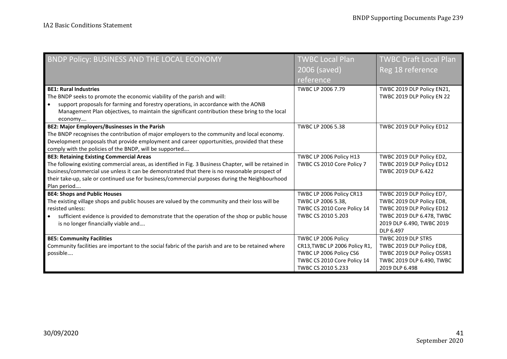| BNDP Policy: BUSINESS AND THE LOCAL ECONOMY                                                                                                                                                                                                                                                                                                                                 | <b>TWBC Local Plan</b><br>2006 (saved)                                                                                               | <b>TWBC Draft Local Plan</b><br>Reg 18 reference                                                                                                           |
|-----------------------------------------------------------------------------------------------------------------------------------------------------------------------------------------------------------------------------------------------------------------------------------------------------------------------------------------------------------------------------|--------------------------------------------------------------------------------------------------------------------------------------|------------------------------------------------------------------------------------------------------------------------------------------------------------|
|                                                                                                                                                                                                                                                                                                                                                                             | reference                                                                                                                            |                                                                                                                                                            |
| <b>BE1: Rural Industries</b><br>The BNDP seeks to promote the economic viability of the parish and will:                                                                                                                                                                                                                                                                    | TWBC LP 2006 7.79                                                                                                                    | TWBC 2019 DLP Policy EN21,<br>TWBC 2019 DLP Policy EN 22                                                                                                   |
| support proposals for farming and forestry operations, in accordance with the AONB<br>Management Plan objectives, to maintain the significant contribution these bring to the local<br>economy                                                                                                                                                                              |                                                                                                                                      |                                                                                                                                                            |
| BE2: Major Employers/Businesses in the Parish<br>The BNDP recognises the contribution of major employers to the community and local economy.<br>Development proposals that provide employment and career opportunities, provided that these<br>comply with the policies of the BNDP, will be supported                                                                      | TWBC LP 2006 5.38                                                                                                                    | TWBC 2019 DLP Policy ED12                                                                                                                                  |
| <b>BE3: Retaining Existing Commercial Areas</b><br>The following existing commercial areas, as identified in Fig. 3 Business Chapter, will be retained in<br>business/commercial use unless it can be demonstrated that there is no reasonable prospect of<br>their take-up, sale or continued use for business/commercial purposes during the Neighbourhood<br>Plan period | TWBC LP 2006 Policy H13<br>TWBC CS 2010 Core Policy 7                                                                                | TWBC 2019 DLP Policy ED2,<br>TWBC 2019 DLP Policy ED12<br>TWBC 2019 DLP 6.422                                                                              |
| <b>BE4: Shops and Public Houses</b><br>The existing village shops and public houses are valued by the community and their loss will be<br>resisted unless:<br>sufficient evidence is provided to demonstrate that the operation of the shop or public house<br>is no longer financially viable and                                                                          | TWBC LP 2006 Policy CR13<br>TWBC LP 2006 5.38,<br>TWBC CS 2010 Core Policy 14<br>TWBC CS 2010 5.203                                  | TWBC 2019 DLP Policy ED7,<br>TWBC 2019 DLP Policy ED8,<br>TWBC 2019 DLP Policy ED12<br>TWBC 2019 DLP 6.478, TWBC<br>2019 DLP 6.490, TWBC 2019<br>DLP 6.497 |
| <b>BE5: Community Facilities</b><br>Community facilities are important to the social fabric of the parish and are to be retained where<br>possible                                                                                                                                                                                                                          | TWBC LP 2006 Policy<br>CR13, TWBC LP 2006 Policy R1,<br>TWBC LP 2006 Policy CS6<br>TWBC CS 2010 Core Policy 14<br>TWBC CS 2010 5.233 | TWBC 2019 DLP STR5<br>TWBC 2019 DLP Policy ED8,<br>TWBC 2019 DLP Policy OSSR1<br>TWBC 2019 DLP 6.490, TWBC<br>2019 DLP 6.498                               |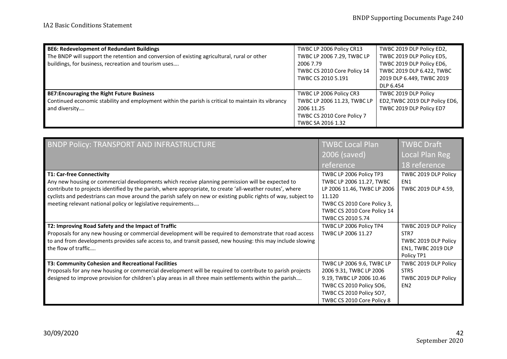| <b>BE6: Redevelopment of Redundant Buildings</b>                                                   | TWBC LP 2006 Policy CR13    | TWBC 2019 DLP Policy ED2,      |
|----------------------------------------------------------------------------------------------------|-----------------------------|--------------------------------|
| The BNDP will support the retention and conversion of existing agricultural, rural or other        | TWBC LP 2006 7.29, TWBC LP  | TWBC 2019 DLP Policy ED5,      |
| buildings, for business, recreation and tourism uses                                               | 2006 7.79                   | TWBC 2019 DLP Policy ED6,      |
|                                                                                                    | TWBC CS 2010 Core Policy 14 | TWBC 2019 DLP 6.422, TWBC      |
|                                                                                                    | TWBC CS 2010 5.191          | 2019 DLP 6.449, TWBC 2019      |
|                                                                                                    |                             | DLP 6.454                      |
| <b>BE7: Encouraging the Right Future Business</b>                                                  | TWBC LP 2006 Policy CR3     | TWBC 2019 DLP Policy           |
| Continued economic stability and employment within the parish is critical to maintain its vibrancy | TWBC LP 2006 11.23, TWBC LP | ED2, TWBC 2019 DLP Policy ED6, |
| and diversity                                                                                      | 2006 11.25                  | TWBC 2019 DLP Policy ED7       |
|                                                                                                    | TWBC CS 2010 Core Policy 7  |                                |
|                                                                                                    | TWBC SA 2016 1.32           |                                |

| BNDP Policy: TRANSPORT AND INFRASTRUCTURE                                                                      | <b>TWBC Local Plan</b>      | <b>TWBC Draft</b>         |
|----------------------------------------------------------------------------------------------------------------|-----------------------------|---------------------------|
|                                                                                                                | 2006 (saved)                | Local Plan Reg            |
|                                                                                                                | reference                   | 18 reference              |
| <b>T1: Car-free Connectivity</b>                                                                               | TWBC LP 2006 Policy TP3     | TWBC 2019 DLP Policy      |
| Any new housing or commercial developments which receive planning permission will be expected to               | TWBC LP 2006 11.27, TWBC    | FN <sub>1</sub>           |
| contribute to projects identified by the parish, where appropriate, to create 'all-weather routes', where      | LP 2006 11.46, TWBC LP 2006 | TWBC 2019 DLP 4.59,       |
| cyclists and pedestrians can move around the parish safely on new or existing public rights of way, subject to | 11.120                      |                           |
| meeting relevant national policy or legislative requirements                                                   | TWBC CS 2010 Core Policy 3, |                           |
|                                                                                                                | TWBC CS 2010 Core Policy 14 |                           |
|                                                                                                                | TWBC CS 2010 5.74           |                           |
| T2: Improving Road Safety and the Impact of Traffic                                                            | TWBC LP 2006 Policy TP4     | TWBC 2019 DLP Policy      |
| Proposals for any new housing or commercial development will be required to demonstrate that road access       | TWBC LP 2006 11.27          | STR7                      |
| to and from developments provides safe access to, and transit passed, new housing: this may include slowing    |                             | TWBC 2019 DLP Policy      |
| the flow of traffic                                                                                            |                             | <b>EN1, TWBC 2019 DLP</b> |
|                                                                                                                |                             | Policy TP1                |
| T3: Community Cohesion and Recreational Facilities                                                             | TWBC LP 2006 9.6, TWBC LP   | TWBC 2019 DLP Policy      |
| Proposals for any new housing or commercial development will be required to contribute to parish projects      | 2006 9.31, TWBC LP 2006     | STR <sub>5</sub>          |
| designed to improve provision for children's play areas in all three main settlements within the parish        | 9.19, TWBC LP 2006 10.46    | TWBC 2019 DLP Policy      |
|                                                                                                                | TWBC CS 2010 Policy SO6,    | EN <sub>2</sub>           |
|                                                                                                                | TWBC CS 2010 Policy SO7,    |                           |
|                                                                                                                | TWBC CS 2010 Core Policy 8  |                           |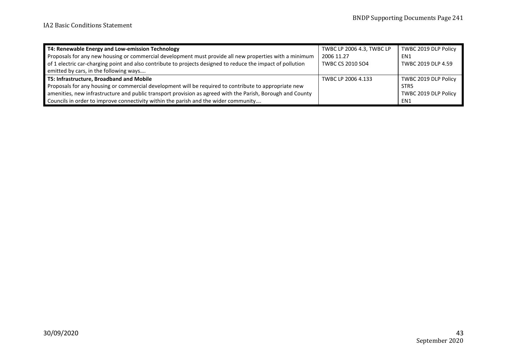| T4: Renewable Energy and Low-emission Technology                                                            | TWBC LP 2006 4.3, TWBC LP | TWBC 2019 DLP Policy |
|-------------------------------------------------------------------------------------------------------------|---------------------------|----------------------|
| Proposals for any new housing or commercial development must provide all new properties with a minimum      | 2006 11.27                | EN1                  |
| of 1 electric car-charging point and also contribute to projects designed to reduce the impact of pollution | <b>TWBC CS 2010 SO4</b>   | TWBC 2019 DLP 4.59   |
| emitted by cars, in the following ways                                                                      |                           |                      |
| T5: Infrastructure, Broadband and Mobile                                                                    | TWBC LP 2006 4.133        | TWBC 2019 DLP Policy |
| Proposals for any housing or commercial development will be required to contribute to appropriate new       |                           | STR <sub>5</sub>     |
| amenities, new infrastructure and public transport provision as agreed with the Parish, Borough and County  |                           | TWBC 2019 DLP Policy |
| Councils in order to improve connectivity within the parish and the wider community                         |                           | EN1                  |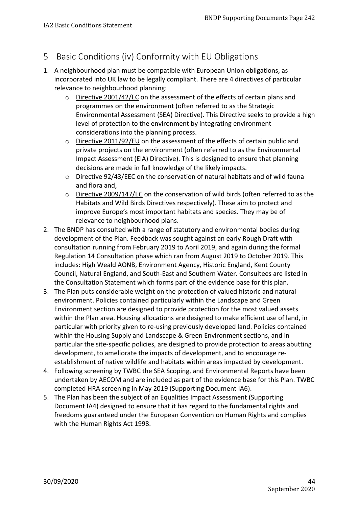### <span id="page-43-0"></span>5 Basic Conditions (iv) Conformity with EU Obligations

- 1. A neighbourhood plan must be compatible with European Union obligations, as incorporated into UK law to be legally compliant. There are 4 directives of particular relevance to neighbourhood planning:
	- o Directive 2001/42/EC on the assessment of the effects of certain plans and programmes on the environment (often referred to as the Strategic Environmental Assessment (SEA) Directive). This Directive seeks to provide a high level of protection to the environment by integrating environment considerations into the planning process.
	- o Directive 2011/92/EU on the assessment of the effects of certain public and private projects on the environment (often referred to as the Environmental Impact Assessment (EIA) Directive). This is designed to ensure that planning decisions are made in full knowledge of the likely impacts.
	- o Directive 92/43/EEC on the conservation of natural habitats and of wild fauna and flora and,
	- o Directive 2009/147/EC on the conservation of wild birds (often referred to as the Habitats and Wild Birds Directives respectively). These aim to protect and improve Europe's most important habitats and species. They may be of relevance to neighbourhood plans.
- 2. The BNDP has consulted with a range of statutory and environmental bodies during development of the Plan. Feedback was sought against an early Rough Draft with consultation running from February 2019 to April 2019, and again during the formal Regulation 14 Consultation phase which ran from August 2019 to October 2019. This includes: High Weald AONB, Environment Agency, Historic England, Kent County Council, Natural England, and South-East and Southern Water. Consultees are listed in the Consultation Statement which forms part of the evidence base for this plan.
- 3. The Plan puts considerable weight on the protection of valued historic and natural environment. Policies contained particularly within the Landscape and Green Environment section are designed to provide protection for the most valued assets within the Plan area. Housing allocations are designed to make efficient use of land, in particular with priority given to re-using previously developed land. Policies contained within the Housing Supply and Landscape & Green Environment sections, and in particular the site-specific policies, are designed to provide protection to areas abutting development, to ameliorate the impacts of development, and to encourage reestablishment of native wildlife and habitats within areas impacted by development.
- 4. Following screening by TWBC the SEA Scoping, and Environmental Reports have been undertaken by AECOM and are included as part of the evidence base for this Plan. TWBC completed HRA screening in May 2019 (Supporting Document IA6).
- <span id="page-43-1"></span>5. The Plan has been the subject of an Equalities Impact Assessment (Supporting Document IA4) designed to ensure that it has regard to the fundamental rights and freedoms guaranteed under the European Convention on Human Rights and complies with the Human Rights Act 1998.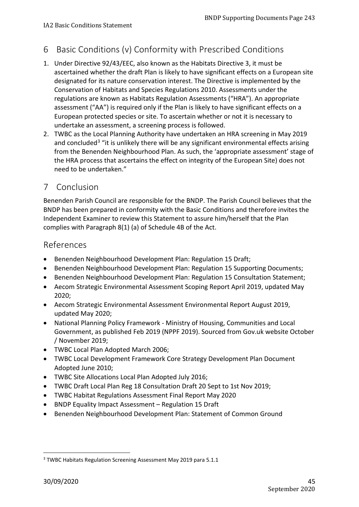## 6 Basic Conditions (v) Conformity with Prescribed Conditions

- 1. Under Directive 92/43/EEC, also known as the Habitats Directive 3, it must be ascertained whether the draft Plan is likely to have significant effects on a European site designated for its nature conservation interest. The Directive is implemented by the Conservation of Habitats and Species Regulations 2010. Assessments under the regulations are known as Habitats Regulation Assessments ("HRA"). An appropriate assessment ("AA") is required only if the Plan is likely to have significant effects on a European protected species or site. To ascertain whether or not it is necessary to undertake an assessment, a screening process is followed.
- 2. TWBC as the Local Planning Authority have undertaken an HRA screening in May 2019 and concluded<sup>[3](#page-44-3)</sup> "it is unlikely there will be any significant environmental effects arising from the Benenden Neighbourhood Plan. As such, the 'appropriate assessment' stage of the HRA process that ascertains the effect on integrity of the European Site) does not need to be undertaken."

### <span id="page-44-0"></span>7 Conclusion

Benenden Parish Council are responsible for the BNDP. The Parish Council believes that the BNDP has been prepared in conformity with the Basic Conditions and therefore invites the Independent Examiner to review this Statement to assure him/herself that the Plan complies with Paragraph 8(1) (a) of Schedule 4B of the Act.

### <span id="page-44-1"></span>References

- Benenden Neighbourhood Development Plan: Regulation 15 Draft;
- Benenden Neighbourhood Development Plan: Regulation 15 Supporting Documents;
- Benenden Neighbourhood Development Plan: Regulation 15 Consultation Statement;
- Aecom Strategic Environmental Assessment Scoping Report April 2019, updated May 2020;
- Aecom Strategic Environmental Assessment Environmental Report August 2019, updated May 2020;
- National Planning Policy Framework Ministry of Housing, Communities and Local Government, as published Feb 2019 (NPPF 2019). Sourced from Gov.uk website October / November 2019;
- TWBC Local Plan Adopted March 2006;
- TWBC Local Development Framework Core Strategy Development Plan Document Adopted June 2010;
- TWBC Site Allocations Local Plan Adopted July 2016;
- TWBC Draft Local Plan Reg 18 Consultation Draft 20 Sept to 1st Nov 2019;
- TWBC Habitat Regulations Assessment Final Report May 2020
- BNDP Equality Impact Assessment Regulation 15 Draft
- <span id="page-44-2"></span>• Benenden Neighbourhood Development Plan: Statement of Common Ground

 $\overline{a}$ 

<span id="page-44-3"></span><sup>3</sup> TWBC Habitats Regulation Screening Assessment May 2019 para 5.1.1